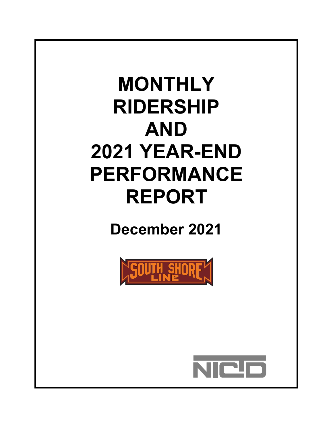# **MONTHLY RIDERSHIP AND 2021 YEAR-END PERFORMANCE REPORT**

**December 2021**



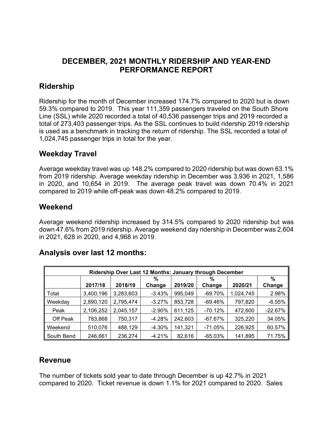#### **DECEMBER, 2021 MONTHLY RIDERSHIP AND YEAR-END PERFORMANCE REPORT**

#### **Ridership**

Ridership for the month of December increased 174.7% compared to 2020 but is down 59.3% compared to 2019. This year 111,359 passengers traveled on the South Shore Line (SSL) while 2020 recorded a total of 40,536 passenger trips and 2019 recorded a total of 273,403 passenger trips. As the SSL continues to build ridership 2019 ridership is used as a benchmark in tracking the return of ridership. The SSL recorded a total of 1,024,745 passenger trips in total for the year.

#### **Weekday Travel**

Average weekday travel was up 148.2% compared to 2020 ridership but was down 63.1% from 2019 ridership. Average weekday ridership in December was 3,936 in 2021, 1,586 in 2020, and 10,654 in 2019. The average peak travel was down 70.4% in 2021 compared to 2019 while off-peak was down 48.2% compared to 2019.

#### **Weekend**

Average weekend ridership increased by 314.5% compared to 2020 ridership but was down 47.6% from 2019 ridership. Average weekend day ridership in December was 2,604 in 2021, 628 in 2020, and 4,968 in 2019.

#### **Analysis over last 12 months:**

| Ridership Over Last 12 Months: January through December |           |           |          |         |           |           |           |  |  |
|---------------------------------------------------------|-----------|-----------|----------|---------|-----------|-----------|-----------|--|--|
|                                                         |           |           | %        |         | %         |           | %         |  |  |
|                                                         | 2017/18   | 2018/19   | Change   | 2019/20 | Change    | 2020/21   | Change    |  |  |
| Total                                                   | 3,400,196 | 3,283,603 | $-3.43%$ | 995,049 | $-69.70%$ | 1,024,745 | 2.98%     |  |  |
| Weekday                                                 | 2,890,120 | 2,795,474 | $-3.27%$ | 853,728 | $-69.46%$ | 797,820   | $-6.55%$  |  |  |
| Peak                                                    | 2,106,252 | 2,045,157 | $-2.90%$ | 611,125 | $-70.12%$ | 472,600   | $-22.67%$ |  |  |
| Off Peak                                                | 783,868   | 750,317   | $-4.28%$ | 242,603 | $-67.67%$ | 325,220   | 34.05%    |  |  |
| Weekend                                                 | 510,076   | 488,129   | $-4.30%$ | 141,321 | $-71.05%$ | 226,925   | 60.57%    |  |  |
| South Bend                                              | 246,661   | 236,274   | $-4.21%$ | 82,616  | $-65.03%$ | 141,895   | 71.75%    |  |  |

#### **Revenue**

The number of tickets sold year to date through December is up 42.7% in 2021 compared to 2020. Ticket revenue is down 1.1% for 2021 compared to 2020. Sales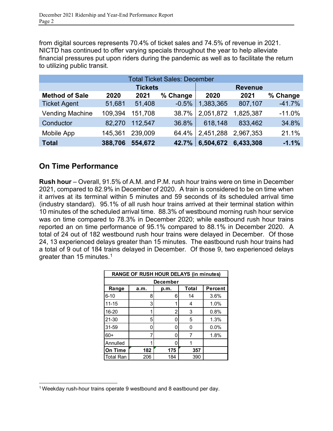from digital sources represents 70.4% of ticket sales and 74.5% of revenue in 2021. NICTD has continued to offer varying specials throughout the year to help alleviate financial pressures put upon riders during the pandemic as well as to facilitate the return to utilizing public transit.

| <b>Total Ticket Sales: December</b> |         |                |          |                |           |          |  |  |  |
|-------------------------------------|---------|----------------|----------|----------------|-----------|----------|--|--|--|
|                                     |         | <b>Tickets</b> |          | <b>Revenue</b> |           |          |  |  |  |
| <b>Method of Sale</b>               | 2020    | 2021           | % Change | 2020           | 2021      | % Change |  |  |  |
| <b>Ticket Agent</b>                 | 51,681  | 51,408         | $-0.5%$  | 1,383,365      | 807,107   | $-41.7%$ |  |  |  |
| <b>Vending Machine</b>              | 109,394 | 151,708        | 38.7%    | 2,051,872      | 1,825,387 | $-11.0%$ |  |  |  |
| Conductor                           | 82,270  | 112,547        | 36.8%    | 618,148        | 833,462   | 34.8%    |  |  |  |
| Mobile App                          | 145,361 | 239,009        | 64.4%    | 2,451,288      | 2,967,353 | 21.1%    |  |  |  |
| <b>Total</b>                        | 388,706 | 554,672        | 42.7%    | 6,504,672      | 6,433,308 | $-1.1%$  |  |  |  |

#### **On Time Performance**

**Rush hour** – Overall, 91.5% of A.M. and P.M. rush hour trains were on time in December 2021, compared to 82.9% in December of 2020. A train is considered to be on time when it arrives at its terminal within 5 minutes and 59 seconds of its scheduled arrival time (industry standard). 95.1% of all rush hour trains arrived at their terminal station within 10 minutes of the scheduled arrival time. 88.3% of westbound morning rush hour service was on time compared to 78.3% in December 2020; while eastbound rush hour trains reported an on time performance of 95.1% compared to 88.1% in December 2020. A total of 24 out of 182 westbound rush hour trains were delayed in December. Of those 24, 13 experienced delays greater than 15 minutes. The eastbound rush hour trains had a total of 9 out of 184 trains delayed in December. Of those 9, two experienced delays greater than [1](#page-2-0)5 minutes.<sup>1</sup>

|                  | <b>RANGE OF RUSH HOUR DELAYS (in minutes)</b> |     |     |      |  |  |  |  |  |
|------------------|-----------------------------------------------|-----|-----|------|--|--|--|--|--|
| <b>December</b>  |                                               |     |     |      |  |  |  |  |  |
| Range            | Total<br><b>Percent</b><br>a.m.<br>p.m.       |     |     |      |  |  |  |  |  |
| $6 - 10$         | 8                                             | 6   | 14  | 3.6% |  |  |  |  |  |
| $11 - 15$        | 3                                             |     | 4   | 1.0% |  |  |  |  |  |
| 16-20            | 1                                             | 2   | 3   | 0.8% |  |  |  |  |  |
| 21-30            | 5                                             |     | 5   | 1.3% |  |  |  |  |  |
| 31-59            | N                                             |     | 0   | 0.0% |  |  |  |  |  |
| $60+$            | 7                                             |     |     | 1.8% |  |  |  |  |  |
| Annulled         |                                               |     |     |      |  |  |  |  |  |
| On Time          | 182                                           | 175 | 357 |      |  |  |  |  |  |
| <b>Total Ran</b> | 206                                           | 184 | 390 |      |  |  |  |  |  |

<span id="page-2-0"></span><sup>&</sup>lt;sup>1</sup> Weekday rush-hour trains operate 9 westbound and 8 eastbound per day.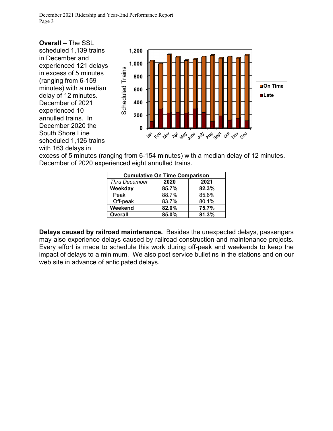

excess of 5 minutes (ranging from 6-154 minutes) with a median delay of 12 minutes. December of 2020 experienced eight annulled trains.

| <b>Cumulative On Time Comparison</b> |       |       |  |  |  |  |  |
|--------------------------------------|-------|-------|--|--|--|--|--|
| <b>Thru December</b>                 | 2020  | 2021  |  |  |  |  |  |
| Weekday                              | 85.7% | 82.3% |  |  |  |  |  |
| Peak                                 | 88.7% | 85.6% |  |  |  |  |  |
| Off-peak                             | 83.7% | 80.1% |  |  |  |  |  |
| Weekend                              | 82.0% | 75.7% |  |  |  |  |  |
| <b>Overall</b>                       | 85.0% | 81.3% |  |  |  |  |  |

**Delays caused by railroad maintenance.** Besides the unexpected delays, passengers may also experience delays caused by railroad construction and maintenance projects. Every effort is made to schedule this work during off-peak and weekends to keep the impact of delays to a minimum. We also post service bulletins in the stations and on our web site in advance of anticipated delays.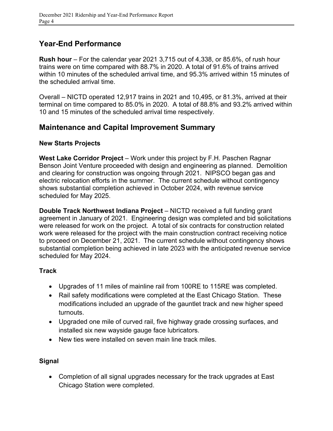### **Year-End Performance**

**Rush hour** – For the calendar year 2021 3,715 out of 4,338, or 85.6%, of rush hour trains were on time compared with 88.7% in 2020. A total of 91.6% of trains arrived within 10 minutes of the scheduled arrival time, and 95.3% arrived within 15 minutes of the scheduled arrival time.

Overall – NICTD operated 12,917 trains in 2021 and 10,495, or 81.3%, arrived at their terminal on time compared to 85.0% in 2020. A total of 88.8% and 93.2% arrived within 10 and 15 minutes of the scheduled arrival time respectively.

#### **Maintenance and Capital Improvement Summary**

#### **New Starts Projects**

West Lake Corridor Project – Work under this project by F.H. Paschen Ragnar Benson Joint Venture proceeded with design and engineering as planned. Demolition and clearing for construction was ongoing through 2021. NIPSCO began gas and electric relocation efforts in the summer. The current schedule without contingency shows substantial completion achieved in October 2024, with revenue service scheduled for May 2025.

**Double Track Northwest Indiana Project** – NICTD received a full funding grant agreement in January of 2021. Engineering design was completed and bid solicitations were released for work on the project. A total of six contracts for construction related work were released for the project with the main construction contract receiving notice to proceed on December 21, 2021. The current schedule without contingency shows substantial completion being achieved in late 2023 with the anticipated revenue service scheduled for May 2024.

#### **Track**

- Upgrades of 11 miles of mainline rail from 100RE to 115RE was completed.
- Rail safety modifications were completed at the East Chicago Station. These modifications included an upgrade of the gauntlet track and new higher speed turnouts.
- Upgraded one mile of curved rail, five highway grade crossing surfaces, and installed six new wayside gauge face lubricators.
- New ties were installed on seven main line track miles

#### **Signal**

• Completion of all signal upgrades necessary for the track upgrades at East Chicago Station were completed.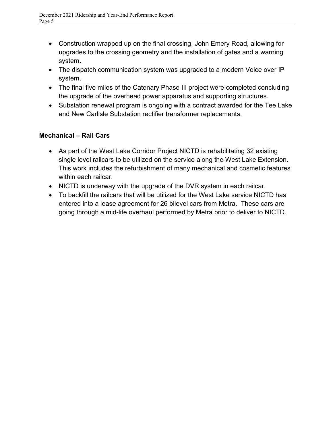- Construction wrapped up on the final crossing, John Emery Road, allowing for upgrades to the crossing geometry and the installation of gates and a warning system.
- The dispatch communication system was upgraded to a modern Voice over IP system.
- The final five miles of the Catenary Phase III project were completed concluding the upgrade of the overhead power apparatus and supporting structures.
- Substation renewal program is ongoing with a contract awarded for the Tee Lake and New Carlisle Substation rectifier transformer replacements.

#### **Mechanical – Rail Cars**

- As part of the West Lake Corridor Project NICTD is rehabilitating 32 existing single level railcars to be utilized on the service along the West Lake Extension. This work includes the refurbishment of many mechanical and cosmetic features within each railcar.
- NICTD is underway with the upgrade of the DVR system in each railcar.
- To backfill the railcars that will be utilized for the West Lake service NICTD has entered into a lease agreement for 26 bilevel cars from Metra. These cars are going through a mid-life overhaul performed by Metra prior to deliver to NICTD.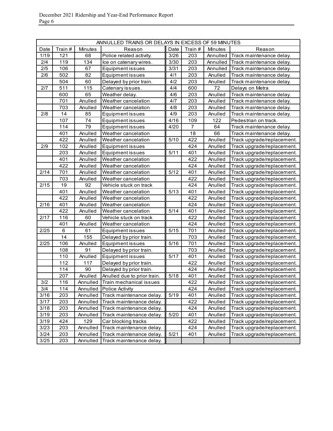|      | ANNULLED TRAINS OR DELAYS IN EXCESS OF 59 MINUTES |                |                                  |        |                |                |                            |  |  |
|------|---------------------------------------------------|----------------|----------------------------------|--------|----------------|----------------|----------------------------|--|--|
| Date | Train #                                           | <b>Minutes</b> | Reason                           | Date   | Train#         | <b>Minutes</b> | Reason                     |  |  |
| 1/19 | 121                                               | 68             | Police related activity.         | 3/26   | 203            | Annulled       | Track maintenance delay.   |  |  |
| 2/4  | 119                                               | 134            | Ice on catenary wires.           | 3/30   | 203            | Annulled       | Track maintenance delay.   |  |  |
| 2/5  | 106                                               | 67             | <b>Equipment issues</b>          | 3/31   | 203            | Annulled       | Track maintenance delay.   |  |  |
| 2/6  | 502                                               | 82             | Equipment issues                 | 4/1    | 203            | Anulled        | Track maintenance delay.   |  |  |
|      | 504                                               | 60             | Delayed by prior train.          | 4/2    | 203            | Anulled        | Track maintenance delay.   |  |  |
| 2/7  | 511                                               | 115            | Catenary issues.                 | 4/4    | 600            | 72             | Delays on Metra            |  |  |
|      | 600                                               | 65             | Weather delay.                   | 4/6    | 203            | Anulled        | Track maintenance delay.   |  |  |
|      | 701                                               | Anulled        | Weather cancelation              | 4/7    | 203            | Anulled        | Track maintenance delay.   |  |  |
|      | 703                                               | Anulled        | Weather cancelation              | 4/8    | 203            | Anulled        | Track maintenance delay.   |  |  |
| 2/8  | 14                                                | 85             | Equipment issues                 | 4/9    | 203            | Anulled        | Track maintenance delay.   |  |  |
|      | 107                                               | 74             | Equipment issues                 | 4/16   | 109            | 122            | Pedestrian on track.       |  |  |
|      | 114                                               | 79             | Equipment issues                 | 4/20   | $\overline{7}$ | 64             | Track maintenance delay.   |  |  |
|      | 401                                               | Anulled        | Weather cancelation              |        | 18             | 66             | Track maintenance delay.   |  |  |
|      | 422                                               | Anulled        | Weather cancelation              | 5/10   | 422            | Anulled        | Track upgrade/replacement. |  |  |
| 2/9  | 102                                               | Anulled        | Equipment issues                 |        | 424            | Anulled        | Track upgrade/replacement. |  |  |
|      | 203                                               | Anulled        | Equipment issues                 | 5/11   | 401            | Anulled        | Track upgrade/replacement. |  |  |
|      | 401                                               | Anulled        | Weather cancelation              |        | 422            | Anulled        | Track upgrade/replacement. |  |  |
|      | 422                                               | Anulled        | Weather cancelation              |        | 424            | Anulled        | Track upgrade/replacement. |  |  |
| 2/14 | 701                                               | Anulled        | Weather cancelation              | 5/12   | 401            | Anulled        | Track upgrade/replacement. |  |  |
|      | 703                                               | Anulled        | Weather cancelation              |        | 422            | Anulled        | Track upgrade/replacement. |  |  |
| 2/15 | 19                                                | 92             | Vehicle stuck on track           |        | 424            | Anulled        | Track upgrade/replacement. |  |  |
|      | 401                                               | Anulled        | Weather cancelation              | 5/13   | 401            | Anulled        | Track upgrade/replacement. |  |  |
|      | 422                                               | Anulled        | Weather cancelation              |        | 422            | Anulled        | Track upgrade/replacement. |  |  |
| 2/16 | 401                                               | Anulled        | Weather cancelation              |        | 424            | Anulled        | Track upgrade/replacement. |  |  |
|      | 422                                               | Anulled        | Weather cancelation              | 5/14   | 401            | Anulled        | Track upgrade/replacement. |  |  |
| 2/17 | 116                                               | 60             | Vehicle stuck on track           |        | 422            | Anulled        | Track upgrade/replacement. |  |  |
|      | 401                                               | Anulled        | Weather cancelation              |        | 424            | Anulled        | Track upgrade/replacement. |  |  |
| 2/25 | 6                                                 | 61             | Equipment issues                 | 5/15   | 701            | Anulled        | Track upgrade/replacement. |  |  |
|      | 14                                                | 155            | Delayed by prior train.          |        | 703            | Anulled        | Track upgrade/replacement. |  |  |
| 2/25 | 106                                               | Anulled        | Equipment issues                 | 5/16   | 701            | Anulled        | Track upgrade/replacement. |  |  |
|      | 108                                               | 91             | Delayed by prior train.          |        | 703            | Anulled        | Track upgrade/replacement. |  |  |
|      | 110                                               | Anulled        | Equipment issues                 | 5/17   | 401            | Anulled        | Track upgrade/replacement. |  |  |
|      | 112                                               | 117            | Delayed by prior train.          |        | 422            | Anulled        | Track upgrade/replacement. |  |  |
|      | 114                                               | 90             | Delayed by prior train.          |        | 424            | Anulled        | Track upgrade/replacement. |  |  |
|      | 207                                               | Anulled        | Anulled due to prior train.      | 5/18   | 401            | Anulled        | Track upgrade/replacement. |  |  |
| 3/2  | 116                                               |                | Annulled Train mechanical issues |        | 422            | Anulled        | Track upgrade/replacement. |  |  |
| 3/4  | 114                                               | Annulled       | <b>Police Activity</b>           |        | 424            | Anulled        | Track upgrade/replacement. |  |  |
| 3/16 | 203                                               | Annulled       | Track maintenance delay.         | 5/19   | 401            | Anulled        | Track upgrade/replacement. |  |  |
| 3/17 | 203                                               | Annulled       | Track maintenance delay.         |        | 422            | Anulled        | Track upgrade/replacement. |  |  |
| 3/18 | 203                                               | Annulled       | Track maintenance delay.         |        | 424            | Anulled        | Track upgrade/replacement. |  |  |
| 3/19 | 203                                               | Annulled       | Track maintenance delay.         | 5/20   | 401            | Anulled        | Track upgrade/replacement. |  |  |
| 3/19 | 424                                               | 129            | Car blocking tracks              |        | 422            | Anulled        | Track upgrade/replacement. |  |  |
| 3/23 | 203                                               | Annulled       | Track maintenance delay.         |        | 424            | Anulled        | Track upgrade/replacement. |  |  |
| 3/24 | 203                                               | Annulled       | Track maintenance delay.         | $5/21$ | 401            | Anulled        | Track upgrade/replacement. |  |  |
| 3/25 | 203                                               | Annulled       | Track maintenance delay.         |        |                |                |                            |  |  |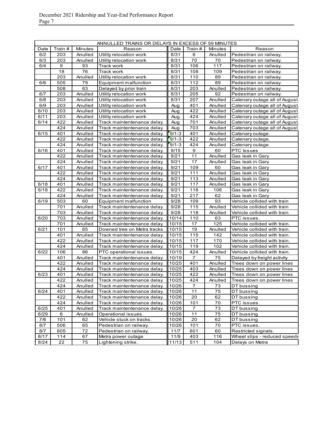| Train #<br>Minutes<br>Date<br>Train #<br>Minutes<br>Date<br>Reason<br>Reason<br>6/2<br>Utility relocation work<br>8/31<br>6<br>Anulled<br>Pedestrian on railway.<br>203<br>Anulled<br>70<br>6/3<br>203<br>Anulled<br>8/31<br>70<br>Pedestrian on railway.<br>Utility relocation work<br>9<br>6/4<br>93<br>8/31<br>106<br>117<br>Track work<br>Pedestrian on railway.<br>18<br>76<br>Track work<br>8/31<br>108<br>109<br>Pedestrian on railway.<br>203<br>8/31<br>89<br>Utility relocation work<br>110<br>Pedestrian on railway.<br>Anulled<br>505<br>8/31<br>112<br>89<br>6/6<br>79<br>Equipment malfunction<br>Pedestrian on railway.<br>508<br>63<br>8/31<br>203<br>Anulled<br>Delayed by prior train<br>Pedestrian on railway.<br>6/7<br>203<br>Utility relocation work<br>8/31<br>205<br>92<br>Anulled<br>Pedestrian on railway.<br>203<br>6/8<br>Anulled<br>Utility relocation work<br>8/31<br>207<br>Anulled<br>6/9<br>203<br>Utility relocation work<br>Anulled<br>401<br>Anulled<br>Aug<br>6/10<br>203<br>Utility relocation work<br>422<br>Anulled<br>Aug<br>Anulled<br>6/11<br>203<br>424<br>Anulled<br>Utility relocation work<br>Aug<br>Anulled<br>422<br>6/14<br>Aug<br>701<br>Anulled<br>Track maintentenance delay.<br>Anulled<br>424<br>703<br>Anulled<br>Track maintentenance delay.<br>Aug<br>Anulled<br>401<br>$9/1 - 3$<br>6/15<br>401<br>Anulled<br>Track maintentenance delay.<br>Anulled<br>Catenary outage.<br>422<br>$9/1 - 3$<br>422<br>Anulled<br>Anulled<br>Track maintentenance delay.<br>Catenary outage.<br>424<br>$9/1 - 3$<br>424<br>Anulled<br>Track maintentenance delay.<br>Anulled<br>Catenary outage.<br>6/16<br>401<br>9/15<br>9<br>60<br>Anulled<br><b>PTC</b> Issues<br>Track maintentenance delay.<br>422<br>9/21<br>11<br>Anulled<br>Track maintentenance delay.<br>Anulled<br>Gas leak in Gary<br>424<br>9/21<br>17<br>Anulled<br>Track maintentenance delay.<br>Anulled<br>Gas leak in Gary<br>6/17<br>401<br>9/21<br>109<br>60<br>Anulled<br>Track maintentenance delay.<br>Gas leak in Gary<br>422<br>9/21<br>111<br>Anulled<br>Anulled<br>Track maintentenance delay.<br>Gas leak in Gary<br>424<br>9/21<br>113<br>Anulled<br>Track maintentenance delay.<br>Anulled<br>Gas leak in Gary<br>401<br>9/21<br>6/18<br>Anulled<br>117<br>Track maintentenance delay.<br>Anulled<br>Gas leak in Gary<br>422<br>9/21<br>6/18<br>118<br>106<br>Anulled<br>Track maintentenance delay.<br>Gas leak in Gary<br>424<br>9/21<br>62<br>Anulled<br>217<br>Track maintentenance delay.<br>Gas leak in Gary<br>9/28<br>93<br>6/19<br>503<br>109<br>60<br>Vehicle collided with train<br>Equipment malfunction<br>701<br>9/28<br>115<br>Anulled<br>Vehicle collided with train<br>Anulled<br>Track maintentenance delay.<br>703<br>9/28<br>118<br>Anulled<br>Anulled<br>Vehicle collided with train<br>Track maintentenance delay.<br>6/20<br>703<br>10/14<br>110<br>63<br>PTC issues.<br>Anulled<br>Track maintentenance delay.<br>701<br>125<br>10/15<br>17<br>Vehicle collided with train.<br>Anulled<br>Track maintentenance delay.<br>101<br>65<br>10/15<br>19<br>Vehicle collided with train.<br>6/21<br>Downed tree on Metra tracks.<br>Anulled<br>401<br>10/15<br>115<br>142<br>Vehicle collided with train.<br>Anulled<br>Track maintentenance delay.<br>422<br>117<br>170<br>10/15<br>Anulled<br>Track maintentenance delay.<br>Vehicle collided with train.<br>424<br>102<br>10/15<br>119<br>Vehicle collided with train.<br>Anulled<br>Track maintentenance delay.<br>6/22<br>106<br>86<br>10/15<br>424<br>Anulled<br>Vehicle collided with train.<br>PTC operational issues.<br>$\overline{7}$<br>75<br>401<br>Anulled<br>10/19<br>Track maintentenance delay.<br>Delayed by freight activity<br>422<br>10/25<br>401<br>Anulled<br>Track maintentenance delay.<br>Trees down on power lines<br>Anulled<br>424<br>10/25<br>Anulled<br>Anulled<br>Track maintentenance delay.<br>403<br>Trees down on power lines<br>6/23<br>401<br>10/25<br>422<br>Anulled<br>Track maintentenance delay.<br>Anulled<br>Trees down on power lines<br>422<br>10/25<br>424<br>Anulled<br>Track maintentenance delay.<br>Anulled<br>Trees down on power lines<br>424<br>Anulled<br>10/26<br>Track maintentenance delay.<br>7<br>73<br>DT bussing<br>6/24<br>401<br>11<br>75<br>10/26<br>DT bussing<br>Anulled<br>Track maintentenance delay.<br>422<br>62<br>Anulled<br>Track maintentenance delay.<br>10/26<br>20<br>DT bussing<br>424<br>10/26<br>101<br>70<br>PTC issues.<br>Anulled<br>Track maintentenance delay.<br>Anulled<br>10/26<br>73<br>DT bussing<br>6/25<br>401<br>Track maintentenance delay.<br>7<br>10/26<br>75<br>6/29<br>6<br>Operational issues.<br>DT bussing<br>Anulled<br>$11$<br>62<br>101<br>62<br>20<br>DT bussing<br>7/6<br>Vehicle stuck on tracks.<br>10/26<br>506<br>65<br>10/26<br>101<br>70<br>PTC issues.<br>8/7<br>Pedestrian on railway.<br>8/7<br>605<br>72<br>Pedestrian on railway.<br>11/7<br>601<br>60<br>Restricted signals.<br>8/17<br>114<br>67<br>11/9<br>403<br>116<br>Wheel slips - reduced speeds<br>Metra power outage |      | ANNULLED TRAINS OR DELAYS IN EXCESS OF 59 MINUTES |    |                    |       |     |     |                                |  |  |
|-------------------------------------------------------------------------------------------------------------------------------------------------------------------------------------------------------------------------------------------------------------------------------------------------------------------------------------------------------------------------------------------------------------------------------------------------------------------------------------------------------------------------------------------------------------------------------------------------------------------------------------------------------------------------------------------------------------------------------------------------------------------------------------------------------------------------------------------------------------------------------------------------------------------------------------------------------------------------------------------------------------------------------------------------------------------------------------------------------------------------------------------------------------------------------------------------------------------------------------------------------------------------------------------------------------------------------------------------------------------------------------------------------------------------------------------------------------------------------------------------------------------------------------------------------------------------------------------------------------------------------------------------------------------------------------------------------------------------------------------------------------------------------------------------------------------------------------------------------------------------------------------------------------------------------------------------------------------------------------------------------------------------------------------------------------------------------------------------------------------------------------------------------------------------------------------------------------------------------------------------------------------------------------------------------------------------------------------------------------------------------------------------------------------------------------------------------------------------------------------------------------------------------------------------------------------------------------------------------------------------------------------------------------------------------------------------------------------------------------------------------------------------------------------------------------------------------------------------------------------------------------------------------------------------------------------------------------------------------------------------------------------------------------------------------------------------------------------------------------------------------------------------------------------------------------------------------------------------------------------------------------------------------------------------------------------------------------------------------------------------------------------------------------------------------------------------------------------------------------------------------------------------------------------------------------------------------------------------------------------------------------------------------------------------------------------------------------------------------------------------------------------------------------------------------------------------------------------------------------------------------------------------------------------------------------------------------------------------------------------------------------------------------------------------------------------------------------------------------------------------------------------------------------------------------------------------------------------------------------------------------------------------------------------------------------------------------------------------------------------------------------------------------------------------------------------------------------------------------------------------------------------------------------------------------------------------------------------------------------------------------------------------------------------------------------------------------------------------------------------------------------------------------------------------------------------------------------------------------------------------------------------------------------------------------------------------------------------------------------------------------------------------------------------------------------------------------------------------|------|---------------------------------------------------|----|--------------------|-------|-----|-----|--------------------------------|--|--|
|                                                                                                                                                                                                                                                                                                                                                                                                                                                                                                                                                                                                                                                                                                                                                                                                                                                                                                                                                                                                                                                                                                                                                                                                                                                                                                                                                                                                                                                                                                                                                                                                                                                                                                                                                                                                                                                                                                                                                                                                                                                                                                                                                                                                                                                                                                                                                                                                                                                                                                                                                                                                                                                                                                                                                                                                                                                                                                                                                                                                                                                                                                                                                                                                                                                                                                                                                                                                                                                                                                                                                                                                                                                                                                                                                                                                                                                                                                                                                                                                                                                                                                                                                                                                                                                                                                                                                                                                                                                                                                                                                                                                                                                                                                                                                                                                                                                                                                                                                                                                                                                                                                 |      |                                                   |    |                    |       |     |     |                                |  |  |
|                                                                                                                                                                                                                                                                                                                                                                                                                                                                                                                                                                                                                                                                                                                                                                                                                                                                                                                                                                                                                                                                                                                                                                                                                                                                                                                                                                                                                                                                                                                                                                                                                                                                                                                                                                                                                                                                                                                                                                                                                                                                                                                                                                                                                                                                                                                                                                                                                                                                                                                                                                                                                                                                                                                                                                                                                                                                                                                                                                                                                                                                                                                                                                                                                                                                                                                                                                                                                                                                                                                                                                                                                                                                                                                                                                                                                                                                                                                                                                                                                                                                                                                                                                                                                                                                                                                                                                                                                                                                                                                                                                                                                                                                                                                                                                                                                                                                                                                                                                                                                                                                                                 |      |                                                   |    |                    |       |     |     |                                |  |  |
|                                                                                                                                                                                                                                                                                                                                                                                                                                                                                                                                                                                                                                                                                                                                                                                                                                                                                                                                                                                                                                                                                                                                                                                                                                                                                                                                                                                                                                                                                                                                                                                                                                                                                                                                                                                                                                                                                                                                                                                                                                                                                                                                                                                                                                                                                                                                                                                                                                                                                                                                                                                                                                                                                                                                                                                                                                                                                                                                                                                                                                                                                                                                                                                                                                                                                                                                                                                                                                                                                                                                                                                                                                                                                                                                                                                                                                                                                                                                                                                                                                                                                                                                                                                                                                                                                                                                                                                                                                                                                                                                                                                                                                                                                                                                                                                                                                                                                                                                                                                                                                                                                                 |      |                                                   |    |                    |       |     |     |                                |  |  |
|                                                                                                                                                                                                                                                                                                                                                                                                                                                                                                                                                                                                                                                                                                                                                                                                                                                                                                                                                                                                                                                                                                                                                                                                                                                                                                                                                                                                                                                                                                                                                                                                                                                                                                                                                                                                                                                                                                                                                                                                                                                                                                                                                                                                                                                                                                                                                                                                                                                                                                                                                                                                                                                                                                                                                                                                                                                                                                                                                                                                                                                                                                                                                                                                                                                                                                                                                                                                                                                                                                                                                                                                                                                                                                                                                                                                                                                                                                                                                                                                                                                                                                                                                                                                                                                                                                                                                                                                                                                                                                                                                                                                                                                                                                                                                                                                                                                                                                                                                                                                                                                                                                 |      |                                                   |    |                    |       |     |     |                                |  |  |
|                                                                                                                                                                                                                                                                                                                                                                                                                                                                                                                                                                                                                                                                                                                                                                                                                                                                                                                                                                                                                                                                                                                                                                                                                                                                                                                                                                                                                                                                                                                                                                                                                                                                                                                                                                                                                                                                                                                                                                                                                                                                                                                                                                                                                                                                                                                                                                                                                                                                                                                                                                                                                                                                                                                                                                                                                                                                                                                                                                                                                                                                                                                                                                                                                                                                                                                                                                                                                                                                                                                                                                                                                                                                                                                                                                                                                                                                                                                                                                                                                                                                                                                                                                                                                                                                                                                                                                                                                                                                                                                                                                                                                                                                                                                                                                                                                                                                                                                                                                                                                                                                                                 |      |                                                   |    |                    |       |     |     |                                |  |  |
|                                                                                                                                                                                                                                                                                                                                                                                                                                                                                                                                                                                                                                                                                                                                                                                                                                                                                                                                                                                                                                                                                                                                                                                                                                                                                                                                                                                                                                                                                                                                                                                                                                                                                                                                                                                                                                                                                                                                                                                                                                                                                                                                                                                                                                                                                                                                                                                                                                                                                                                                                                                                                                                                                                                                                                                                                                                                                                                                                                                                                                                                                                                                                                                                                                                                                                                                                                                                                                                                                                                                                                                                                                                                                                                                                                                                                                                                                                                                                                                                                                                                                                                                                                                                                                                                                                                                                                                                                                                                                                                                                                                                                                                                                                                                                                                                                                                                                                                                                                                                                                                                                                 |      |                                                   |    |                    |       |     |     |                                |  |  |
|                                                                                                                                                                                                                                                                                                                                                                                                                                                                                                                                                                                                                                                                                                                                                                                                                                                                                                                                                                                                                                                                                                                                                                                                                                                                                                                                                                                                                                                                                                                                                                                                                                                                                                                                                                                                                                                                                                                                                                                                                                                                                                                                                                                                                                                                                                                                                                                                                                                                                                                                                                                                                                                                                                                                                                                                                                                                                                                                                                                                                                                                                                                                                                                                                                                                                                                                                                                                                                                                                                                                                                                                                                                                                                                                                                                                                                                                                                                                                                                                                                                                                                                                                                                                                                                                                                                                                                                                                                                                                                                                                                                                                                                                                                                                                                                                                                                                                                                                                                                                                                                                                                 |      |                                                   |    |                    |       |     |     |                                |  |  |
|                                                                                                                                                                                                                                                                                                                                                                                                                                                                                                                                                                                                                                                                                                                                                                                                                                                                                                                                                                                                                                                                                                                                                                                                                                                                                                                                                                                                                                                                                                                                                                                                                                                                                                                                                                                                                                                                                                                                                                                                                                                                                                                                                                                                                                                                                                                                                                                                                                                                                                                                                                                                                                                                                                                                                                                                                                                                                                                                                                                                                                                                                                                                                                                                                                                                                                                                                                                                                                                                                                                                                                                                                                                                                                                                                                                                                                                                                                                                                                                                                                                                                                                                                                                                                                                                                                                                                                                                                                                                                                                                                                                                                                                                                                                                                                                                                                                                                                                                                                                                                                                                                                 |      |                                                   |    |                    |       |     |     |                                |  |  |
|                                                                                                                                                                                                                                                                                                                                                                                                                                                                                                                                                                                                                                                                                                                                                                                                                                                                                                                                                                                                                                                                                                                                                                                                                                                                                                                                                                                                                                                                                                                                                                                                                                                                                                                                                                                                                                                                                                                                                                                                                                                                                                                                                                                                                                                                                                                                                                                                                                                                                                                                                                                                                                                                                                                                                                                                                                                                                                                                                                                                                                                                                                                                                                                                                                                                                                                                                                                                                                                                                                                                                                                                                                                                                                                                                                                                                                                                                                                                                                                                                                                                                                                                                                                                                                                                                                                                                                                                                                                                                                                                                                                                                                                                                                                                                                                                                                                                                                                                                                                                                                                                                                 |      |                                                   |    |                    |       |     |     |                                |  |  |
|                                                                                                                                                                                                                                                                                                                                                                                                                                                                                                                                                                                                                                                                                                                                                                                                                                                                                                                                                                                                                                                                                                                                                                                                                                                                                                                                                                                                                                                                                                                                                                                                                                                                                                                                                                                                                                                                                                                                                                                                                                                                                                                                                                                                                                                                                                                                                                                                                                                                                                                                                                                                                                                                                                                                                                                                                                                                                                                                                                                                                                                                                                                                                                                                                                                                                                                                                                                                                                                                                                                                                                                                                                                                                                                                                                                                                                                                                                                                                                                                                                                                                                                                                                                                                                                                                                                                                                                                                                                                                                                                                                                                                                                                                                                                                                                                                                                                                                                                                                                                                                                                                                 |      |                                                   |    |                    |       |     |     | Catenary outage all of August. |  |  |
|                                                                                                                                                                                                                                                                                                                                                                                                                                                                                                                                                                                                                                                                                                                                                                                                                                                                                                                                                                                                                                                                                                                                                                                                                                                                                                                                                                                                                                                                                                                                                                                                                                                                                                                                                                                                                                                                                                                                                                                                                                                                                                                                                                                                                                                                                                                                                                                                                                                                                                                                                                                                                                                                                                                                                                                                                                                                                                                                                                                                                                                                                                                                                                                                                                                                                                                                                                                                                                                                                                                                                                                                                                                                                                                                                                                                                                                                                                                                                                                                                                                                                                                                                                                                                                                                                                                                                                                                                                                                                                                                                                                                                                                                                                                                                                                                                                                                                                                                                                                                                                                                                                 |      |                                                   |    |                    |       |     |     | Catenary outage all of August. |  |  |
|                                                                                                                                                                                                                                                                                                                                                                                                                                                                                                                                                                                                                                                                                                                                                                                                                                                                                                                                                                                                                                                                                                                                                                                                                                                                                                                                                                                                                                                                                                                                                                                                                                                                                                                                                                                                                                                                                                                                                                                                                                                                                                                                                                                                                                                                                                                                                                                                                                                                                                                                                                                                                                                                                                                                                                                                                                                                                                                                                                                                                                                                                                                                                                                                                                                                                                                                                                                                                                                                                                                                                                                                                                                                                                                                                                                                                                                                                                                                                                                                                                                                                                                                                                                                                                                                                                                                                                                                                                                                                                                                                                                                                                                                                                                                                                                                                                                                                                                                                                                                                                                                                                 |      |                                                   |    |                    |       |     |     | Catenary outage all of August. |  |  |
|                                                                                                                                                                                                                                                                                                                                                                                                                                                                                                                                                                                                                                                                                                                                                                                                                                                                                                                                                                                                                                                                                                                                                                                                                                                                                                                                                                                                                                                                                                                                                                                                                                                                                                                                                                                                                                                                                                                                                                                                                                                                                                                                                                                                                                                                                                                                                                                                                                                                                                                                                                                                                                                                                                                                                                                                                                                                                                                                                                                                                                                                                                                                                                                                                                                                                                                                                                                                                                                                                                                                                                                                                                                                                                                                                                                                                                                                                                                                                                                                                                                                                                                                                                                                                                                                                                                                                                                                                                                                                                                                                                                                                                                                                                                                                                                                                                                                                                                                                                                                                                                                                                 |      |                                                   |    |                    |       |     |     | Catenary outage all of August. |  |  |
|                                                                                                                                                                                                                                                                                                                                                                                                                                                                                                                                                                                                                                                                                                                                                                                                                                                                                                                                                                                                                                                                                                                                                                                                                                                                                                                                                                                                                                                                                                                                                                                                                                                                                                                                                                                                                                                                                                                                                                                                                                                                                                                                                                                                                                                                                                                                                                                                                                                                                                                                                                                                                                                                                                                                                                                                                                                                                                                                                                                                                                                                                                                                                                                                                                                                                                                                                                                                                                                                                                                                                                                                                                                                                                                                                                                                                                                                                                                                                                                                                                                                                                                                                                                                                                                                                                                                                                                                                                                                                                                                                                                                                                                                                                                                                                                                                                                                                                                                                                                                                                                                                                 |      |                                                   |    |                    |       |     |     | Catenary outage all of August. |  |  |
|                                                                                                                                                                                                                                                                                                                                                                                                                                                                                                                                                                                                                                                                                                                                                                                                                                                                                                                                                                                                                                                                                                                                                                                                                                                                                                                                                                                                                                                                                                                                                                                                                                                                                                                                                                                                                                                                                                                                                                                                                                                                                                                                                                                                                                                                                                                                                                                                                                                                                                                                                                                                                                                                                                                                                                                                                                                                                                                                                                                                                                                                                                                                                                                                                                                                                                                                                                                                                                                                                                                                                                                                                                                                                                                                                                                                                                                                                                                                                                                                                                                                                                                                                                                                                                                                                                                                                                                                                                                                                                                                                                                                                                                                                                                                                                                                                                                                                                                                                                                                                                                                                                 |      |                                                   |    |                    |       |     |     | Catenary outage all of August. |  |  |
|                                                                                                                                                                                                                                                                                                                                                                                                                                                                                                                                                                                                                                                                                                                                                                                                                                                                                                                                                                                                                                                                                                                                                                                                                                                                                                                                                                                                                                                                                                                                                                                                                                                                                                                                                                                                                                                                                                                                                                                                                                                                                                                                                                                                                                                                                                                                                                                                                                                                                                                                                                                                                                                                                                                                                                                                                                                                                                                                                                                                                                                                                                                                                                                                                                                                                                                                                                                                                                                                                                                                                                                                                                                                                                                                                                                                                                                                                                                                                                                                                                                                                                                                                                                                                                                                                                                                                                                                                                                                                                                                                                                                                                                                                                                                                                                                                                                                                                                                                                                                                                                                                                 |      |                                                   |    |                    |       |     |     |                                |  |  |
|                                                                                                                                                                                                                                                                                                                                                                                                                                                                                                                                                                                                                                                                                                                                                                                                                                                                                                                                                                                                                                                                                                                                                                                                                                                                                                                                                                                                                                                                                                                                                                                                                                                                                                                                                                                                                                                                                                                                                                                                                                                                                                                                                                                                                                                                                                                                                                                                                                                                                                                                                                                                                                                                                                                                                                                                                                                                                                                                                                                                                                                                                                                                                                                                                                                                                                                                                                                                                                                                                                                                                                                                                                                                                                                                                                                                                                                                                                                                                                                                                                                                                                                                                                                                                                                                                                                                                                                                                                                                                                                                                                                                                                                                                                                                                                                                                                                                                                                                                                                                                                                                                                 |      |                                                   |    |                    |       |     |     |                                |  |  |
|                                                                                                                                                                                                                                                                                                                                                                                                                                                                                                                                                                                                                                                                                                                                                                                                                                                                                                                                                                                                                                                                                                                                                                                                                                                                                                                                                                                                                                                                                                                                                                                                                                                                                                                                                                                                                                                                                                                                                                                                                                                                                                                                                                                                                                                                                                                                                                                                                                                                                                                                                                                                                                                                                                                                                                                                                                                                                                                                                                                                                                                                                                                                                                                                                                                                                                                                                                                                                                                                                                                                                                                                                                                                                                                                                                                                                                                                                                                                                                                                                                                                                                                                                                                                                                                                                                                                                                                                                                                                                                                                                                                                                                                                                                                                                                                                                                                                                                                                                                                                                                                                                                 |      |                                                   |    |                    |       |     |     |                                |  |  |
|                                                                                                                                                                                                                                                                                                                                                                                                                                                                                                                                                                                                                                                                                                                                                                                                                                                                                                                                                                                                                                                                                                                                                                                                                                                                                                                                                                                                                                                                                                                                                                                                                                                                                                                                                                                                                                                                                                                                                                                                                                                                                                                                                                                                                                                                                                                                                                                                                                                                                                                                                                                                                                                                                                                                                                                                                                                                                                                                                                                                                                                                                                                                                                                                                                                                                                                                                                                                                                                                                                                                                                                                                                                                                                                                                                                                                                                                                                                                                                                                                                                                                                                                                                                                                                                                                                                                                                                                                                                                                                                                                                                                                                                                                                                                                                                                                                                                                                                                                                                                                                                                                                 |      |                                                   |    |                    |       |     |     |                                |  |  |
|                                                                                                                                                                                                                                                                                                                                                                                                                                                                                                                                                                                                                                                                                                                                                                                                                                                                                                                                                                                                                                                                                                                                                                                                                                                                                                                                                                                                                                                                                                                                                                                                                                                                                                                                                                                                                                                                                                                                                                                                                                                                                                                                                                                                                                                                                                                                                                                                                                                                                                                                                                                                                                                                                                                                                                                                                                                                                                                                                                                                                                                                                                                                                                                                                                                                                                                                                                                                                                                                                                                                                                                                                                                                                                                                                                                                                                                                                                                                                                                                                                                                                                                                                                                                                                                                                                                                                                                                                                                                                                                                                                                                                                                                                                                                                                                                                                                                                                                                                                                                                                                                                                 |      |                                                   |    |                    |       |     |     |                                |  |  |
|                                                                                                                                                                                                                                                                                                                                                                                                                                                                                                                                                                                                                                                                                                                                                                                                                                                                                                                                                                                                                                                                                                                                                                                                                                                                                                                                                                                                                                                                                                                                                                                                                                                                                                                                                                                                                                                                                                                                                                                                                                                                                                                                                                                                                                                                                                                                                                                                                                                                                                                                                                                                                                                                                                                                                                                                                                                                                                                                                                                                                                                                                                                                                                                                                                                                                                                                                                                                                                                                                                                                                                                                                                                                                                                                                                                                                                                                                                                                                                                                                                                                                                                                                                                                                                                                                                                                                                                                                                                                                                                                                                                                                                                                                                                                                                                                                                                                                                                                                                                                                                                                                                 |      |                                                   |    |                    |       |     |     |                                |  |  |
|                                                                                                                                                                                                                                                                                                                                                                                                                                                                                                                                                                                                                                                                                                                                                                                                                                                                                                                                                                                                                                                                                                                                                                                                                                                                                                                                                                                                                                                                                                                                                                                                                                                                                                                                                                                                                                                                                                                                                                                                                                                                                                                                                                                                                                                                                                                                                                                                                                                                                                                                                                                                                                                                                                                                                                                                                                                                                                                                                                                                                                                                                                                                                                                                                                                                                                                                                                                                                                                                                                                                                                                                                                                                                                                                                                                                                                                                                                                                                                                                                                                                                                                                                                                                                                                                                                                                                                                                                                                                                                                                                                                                                                                                                                                                                                                                                                                                                                                                                                                                                                                                                                 |      |                                                   |    |                    |       |     |     |                                |  |  |
|                                                                                                                                                                                                                                                                                                                                                                                                                                                                                                                                                                                                                                                                                                                                                                                                                                                                                                                                                                                                                                                                                                                                                                                                                                                                                                                                                                                                                                                                                                                                                                                                                                                                                                                                                                                                                                                                                                                                                                                                                                                                                                                                                                                                                                                                                                                                                                                                                                                                                                                                                                                                                                                                                                                                                                                                                                                                                                                                                                                                                                                                                                                                                                                                                                                                                                                                                                                                                                                                                                                                                                                                                                                                                                                                                                                                                                                                                                                                                                                                                                                                                                                                                                                                                                                                                                                                                                                                                                                                                                                                                                                                                                                                                                                                                                                                                                                                                                                                                                                                                                                                                                 |      |                                                   |    |                    |       |     |     |                                |  |  |
|                                                                                                                                                                                                                                                                                                                                                                                                                                                                                                                                                                                                                                                                                                                                                                                                                                                                                                                                                                                                                                                                                                                                                                                                                                                                                                                                                                                                                                                                                                                                                                                                                                                                                                                                                                                                                                                                                                                                                                                                                                                                                                                                                                                                                                                                                                                                                                                                                                                                                                                                                                                                                                                                                                                                                                                                                                                                                                                                                                                                                                                                                                                                                                                                                                                                                                                                                                                                                                                                                                                                                                                                                                                                                                                                                                                                                                                                                                                                                                                                                                                                                                                                                                                                                                                                                                                                                                                                                                                                                                                                                                                                                                                                                                                                                                                                                                                                                                                                                                                                                                                                                                 |      |                                                   |    |                    |       |     |     |                                |  |  |
|                                                                                                                                                                                                                                                                                                                                                                                                                                                                                                                                                                                                                                                                                                                                                                                                                                                                                                                                                                                                                                                                                                                                                                                                                                                                                                                                                                                                                                                                                                                                                                                                                                                                                                                                                                                                                                                                                                                                                                                                                                                                                                                                                                                                                                                                                                                                                                                                                                                                                                                                                                                                                                                                                                                                                                                                                                                                                                                                                                                                                                                                                                                                                                                                                                                                                                                                                                                                                                                                                                                                                                                                                                                                                                                                                                                                                                                                                                                                                                                                                                                                                                                                                                                                                                                                                                                                                                                                                                                                                                                                                                                                                                                                                                                                                                                                                                                                                                                                                                                                                                                                                                 |      |                                                   |    |                    |       |     |     |                                |  |  |
|                                                                                                                                                                                                                                                                                                                                                                                                                                                                                                                                                                                                                                                                                                                                                                                                                                                                                                                                                                                                                                                                                                                                                                                                                                                                                                                                                                                                                                                                                                                                                                                                                                                                                                                                                                                                                                                                                                                                                                                                                                                                                                                                                                                                                                                                                                                                                                                                                                                                                                                                                                                                                                                                                                                                                                                                                                                                                                                                                                                                                                                                                                                                                                                                                                                                                                                                                                                                                                                                                                                                                                                                                                                                                                                                                                                                                                                                                                                                                                                                                                                                                                                                                                                                                                                                                                                                                                                                                                                                                                                                                                                                                                                                                                                                                                                                                                                                                                                                                                                                                                                                                                 |      |                                                   |    |                    |       |     |     |                                |  |  |
|                                                                                                                                                                                                                                                                                                                                                                                                                                                                                                                                                                                                                                                                                                                                                                                                                                                                                                                                                                                                                                                                                                                                                                                                                                                                                                                                                                                                                                                                                                                                                                                                                                                                                                                                                                                                                                                                                                                                                                                                                                                                                                                                                                                                                                                                                                                                                                                                                                                                                                                                                                                                                                                                                                                                                                                                                                                                                                                                                                                                                                                                                                                                                                                                                                                                                                                                                                                                                                                                                                                                                                                                                                                                                                                                                                                                                                                                                                                                                                                                                                                                                                                                                                                                                                                                                                                                                                                                                                                                                                                                                                                                                                                                                                                                                                                                                                                                                                                                                                                                                                                                                                 |      |                                                   |    |                    |       |     |     |                                |  |  |
|                                                                                                                                                                                                                                                                                                                                                                                                                                                                                                                                                                                                                                                                                                                                                                                                                                                                                                                                                                                                                                                                                                                                                                                                                                                                                                                                                                                                                                                                                                                                                                                                                                                                                                                                                                                                                                                                                                                                                                                                                                                                                                                                                                                                                                                                                                                                                                                                                                                                                                                                                                                                                                                                                                                                                                                                                                                                                                                                                                                                                                                                                                                                                                                                                                                                                                                                                                                                                                                                                                                                                                                                                                                                                                                                                                                                                                                                                                                                                                                                                                                                                                                                                                                                                                                                                                                                                                                                                                                                                                                                                                                                                                                                                                                                                                                                                                                                                                                                                                                                                                                                                                 |      |                                                   |    |                    |       |     |     |                                |  |  |
|                                                                                                                                                                                                                                                                                                                                                                                                                                                                                                                                                                                                                                                                                                                                                                                                                                                                                                                                                                                                                                                                                                                                                                                                                                                                                                                                                                                                                                                                                                                                                                                                                                                                                                                                                                                                                                                                                                                                                                                                                                                                                                                                                                                                                                                                                                                                                                                                                                                                                                                                                                                                                                                                                                                                                                                                                                                                                                                                                                                                                                                                                                                                                                                                                                                                                                                                                                                                                                                                                                                                                                                                                                                                                                                                                                                                                                                                                                                                                                                                                                                                                                                                                                                                                                                                                                                                                                                                                                                                                                                                                                                                                                                                                                                                                                                                                                                                                                                                                                                                                                                                                                 |      |                                                   |    |                    |       |     |     |                                |  |  |
|                                                                                                                                                                                                                                                                                                                                                                                                                                                                                                                                                                                                                                                                                                                                                                                                                                                                                                                                                                                                                                                                                                                                                                                                                                                                                                                                                                                                                                                                                                                                                                                                                                                                                                                                                                                                                                                                                                                                                                                                                                                                                                                                                                                                                                                                                                                                                                                                                                                                                                                                                                                                                                                                                                                                                                                                                                                                                                                                                                                                                                                                                                                                                                                                                                                                                                                                                                                                                                                                                                                                                                                                                                                                                                                                                                                                                                                                                                                                                                                                                                                                                                                                                                                                                                                                                                                                                                                                                                                                                                                                                                                                                                                                                                                                                                                                                                                                                                                                                                                                                                                                                                 |      |                                                   |    |                    |       |     |     |                                |  |  |
|                                                                                                                                                                                                                                                                                                                                                                                                                                                                                                                                                                                                                                                                                                                                                                                                                                                                                                                                                                                                                                                                                                                                                                                                                                                                                                                                                                                                                                                                                                                                                                                                                                                                                                                                                                                                                                                                                                                                                                                                                                                                                                                                                                                                                                                                                                                                                                                                                                                                                                                                                                                                                                                                                                                                                                                                                                                                                                                                                                                                                                                                                                                                                                                                                                                                                                                                                                                                                                                                                                                                                                                                                                                                                                                                                                                                                                                                                                                                                                                                                                                                                                                                                                                                                                                                                                                                                                                                                                                                                                                                                                                                                                                                                                                                                                                                                                                                                                                                                                                                                                                                                                 |      |                                                   |    |                    |       |     |     |                                |  |  |
|                                                                                                                                                                                                                                                                                                                                                                                                                                                                                                                                                                                                                                                                                                                                                                                                                                                                                                                                                                                                                                                                                                                                                                                                                                                                                                                                                                                                                                                                                                                                                                                                                                                                                                                                                                                                                                                                                                                                                                                                                                                                                                                                                                                                                                                                                                                                                                                                                                                                                                                                                                                                                                                                                                                                                                                                                                                                                                                                                                                                                                                                                                                                                                                                                                                                                                                                                                                                                                                                                                                                                                                                                                                                                                                                                                                                                                                                                                                                                                                                                                                                                                                                                                                                                                                                                                                                                                                                                                                                                                                                                                                                                                                                                                                                                                                                                                                                                                                                                                                                                                                                                                 |      |                                                   |    |                    |       |     |     |                                |  |  |
|                                                                                                                                                                                                                                                                                                                                                                                                                                                                                                                                                                                                                                                                                                                                                                                                                                                                                                                                                                                                                                                                                                                                                                                                                                                                                                                                                                                                                                                                                                                                                                                                                                                                                                                                                                                                                                                                                                                                                                                                                                                                                                                                                                                                                                                                                                                                                                                                                                                                                                                                                                                                                                                                                                                                                                                                                                                                                                                                                                                                                                                                                                                                                                                                                                                                                                                                                                                                                                                                                                                                                                                                                                                                                                                                                                                                                                                                                                                                                                                                                                                                                                                                                                                                                                                                                                                                                                                                                                                                                                                                                                                                                                                                                                                                                                                                                                                                                                                                                                                                                                                                                                 |      |                                                   |    |                    |       |     |     |                                |  |  |
|                                                                                                                                                                                                                                                                                                                                                                                                                                                                                                                                                                                                                                                                                                                                                                                                                                                                                                                                                                                                                                                                                                                                                                                                                                                                                                                                                                                                                                                                                                                                                                                                                                                                                                                                                                                                                                                                                                                                                                                                                                                                                                                                                                                                                                                                                                                                                                                                                                                                                                                                                                                                                                                                                                                                                                                                                                                                                                                                                                                                                                                                                                                                                                                                                                                                                                                                                                                                                                                                                                                                                                                                                                                                                                                                                                                                                                                                                                                                                                                                                                                                                                                                                                                                                                                                                                                                                                                                                                                                                                                                                                                                                                                                                                                                                                                                                                                                                                                                                                                                                                                                                                 |      |                                                   |    |                    |       |     |     |                                |  |  |
|                                                                                                                                                                                                                                                                                                                                                                                                                                                                                                                                                                                                                                                                                                                                                                                                                                                                                                                                                                                                                                                                                                                                                                                                                                                                                                                                                                                                                                                                                                                                                                                                                                                                                                                                                                                                                                                                                                                                                                                                                                                                                                                                                                                                                                                                                                                                                                                                                                                                                                                                                                                                                                                                                                                                                                                                                                                                                                                                                                                                                                                                                                                                                                                                                                                                                                                                                                                                                                                                                                                                                                                                                                                                                                                                                                                                                                                                                                                                                                                                                                                                                                                                                                                                                                                                                                                                                                                                                                                                                                                                                                                                                                                                                                                                                                                                                                                                                                                                                                                                                                                                                                 |      |                                                   |    |                    |       |     |     |                                |  |  |
|                                                                                                                                                                                                                                                                                                                                                                                                                                                                                                                                                                                                                                                                                                                                                                                                                                                                                                                                                                                                                                                                                                                                                                                                                                                                                                                                                                                                                                                                                                                                                                                                                                                                                                                                                                                                                                                                                                                                                                                                                                                                                                                                                                                                                                                                                                                                                                                                                                                                                                                                                                                                                                                                                                                                                                                                                                                                                                                                                                                                                                                                                                                                                                                                                                                                                                                                                                                                                                                                                                                                                                                                                                                                                                                                                                                                                                                                                                                                                                                                                                                                                                                                                                                                                                                                                                                                                                                                                                                                                                                                                                                                                                                                                                                                                                                                                                                                                                                                                                                                                                                                                                 |      |                                                   |    |                    |       |     |     |                                |  |  |
|                                                                                                                                                                                                                                                                                                                                                                                                                                                                                                                                                                                                                                                                                                                                                                                                                                                                                                                                                                                                                                                                                                                                                                                                                                                                                                                                                                                                                                                                                                                                                                                                                                                                                                                                                                                                                                                                                                                                                                                                                                                                                                                                                                                                                                                                                                                                                                                                                                                                                                                                                                                                                                                                                                                                                                                                                                                                                                                                                                                                                                                                                                                                                                                                                                                                                                                                                                                                                                                                                                                                                                                                                                                                                                                                                                                                                                                                                                                                                                                                                                                                                                                                                                                                                                                                                                                                                                                                                                                                                                                                                                                                                                                                                                                                                                                                                                                                                                                                                                                                                                                                                                 |      |                                                   |    |                    |       |     |     |                                |  |  |
|                                                                                                                                                                                                                                                                                                                                                                                                                                                                                                                                                                                                                                                                                                                                                                                                                                                                                                                                                                                                                                                                                                                                                                                                                                                                                                                                                                                                                                                                                                                                                                                                                                                                                                                                                                                                                                                                                                                                                                                                                                                                                                                                                                                                                                                                                                                                                                                                                                                                                                                                                                                                                                                                                                                                                                                                                                                                                                                                                                                                                                                                                                                                                                                                                                                                                                                                                                                                                                                                                                                                                                                                                                                                                                                                                                                                                                                                                                                                                                                                                                                                                                                                                                                                                                                                                                                                                                                                                                                                                                                                                                                                                                                                                                                                                                                                                                                                                                                                                                                                                                                                                                 |      |                                                   |    |                    |       |     |     |                                |  |  |
|                                                                                                                                                                                                                                                                                                                                                                                                                                                                                                                                                                                                                                                                                                                                                                                                                                                                                                                                                                                                                                                                                                                                                                                                                                                                                                                                                                                                                                                                                                                                                                                                                                                                                                                                                                                                                                                                                                                                                                                                                                                                                                                                                                                                                                                                                                                                                                                                                                                                                                                                                                                                                                                                                                                                                                                                                                                                                                                                                                                                                                                                                                                                                                                                                                                                                                                                                                                                                                                                                                                                                                                                                                                                                                                                                                                                                                                                                                                                                                                                                                                                                                                                                                                                                                                                                                                                                                                                                                                                                                                                                                                                                                                                                                                                                                                                                                                                                                                                                                                                                                                                                                 |      |                                                   |    |                    |       |     |     |                                |  |  |
|                                                                                                                                                                                                                                                                                                                                                                                                                                                                                                                                                                                                                                                                                                                                                                                                                                                                                                                                                                                                                                                                                                                                                                                                                                                                                                                                                                                                                                                                                                                                                                                                                                                                                                                                                                                                                                                                                                                                                                                                                                                                                                                                                                                                                                                                                                                                                                                                                                                                                                                                                                                                                                                                                                                                                                                                                                                                                                                                                                                                                                                                                                                                                                                                                                                                                                                                                                                                                                                                                                                                                                                                                                                                                                                                                                                                                                                                                                                                                                                                                                                                                                                                                                                                                                                                                                                                                                                                                                                                                                                                                                                                                                                                                                                                                                                                                                                                                                                                                                                                                                                                                                 |      |                                                   |    |                    |       |     |     |                                |  |  |
|                                                                                                                                                                                                                                                                                                                                                                                                                                                                                                                                                                                                                                                                                                                                                                                                                                                                                                                                                                                                                                                                                                                                                                                                                                                                                                                                                                                                                                                                                                                                                                                                                                                                                                                                                                                                                                                                                                                                                                                                                                                                                                                                                                                                                                                                                                                                                                                                                                                                                                                                                                                                                                                                                                                                                                                                                                                                                                                                                                                                                                                                                                                                                                                                                                                                                                                                                                                                                                                                                                                                                                                                                                                                                                                                                                                                                                                                                                                                                                                                                                                                                                                                                                                                                                                                                                                                                                                                                                                                                                                                                                                                                                                                                                                                                                                                                                                                                                                                                                                                                                                                                                 |      |                                                   |    |                    |       |     |     |                                |  |  |
|                                                                                                                                                                                                                                                                                                                                                                                                                                                                                                                                                                                                                                                                                                                                                                                                                                                                                                                                                                                                                                                                                                                                                                                                                                                                                                                                                                                                                                                                                                                                                                                                                                                                                                                                                                                                                                                                                                                                                                                                                                                                                                                                                                                                                                                                                                                                                                                                                                                                                                                                                                                                                                                                                                                                                                                                                                                                                                                                                                                                                                                                                                                                                                                                                                                                                                                                                                                                                                                                                                                                                                                                                                                                                                                                                                                                                                                                                                                                                                                                                                                                                                                                                                                                                                                                                                                                                                                                                                                                                                                                                                                                                                                                                                                                                                                                                                                                                                                                                                                                                                                                                                 |      |                                                   |    |                    |       |     |     |                                |  |  |
|                                                                                                                                                                                                                                                                                                                                                                                                                                                                                                                                                                                                                                                                                                                                                                                                                                                                                                                                                                                                                                                                                                                                                                                                                                                                                                                                                                                                                                                                                                                                                                                                                                                                                                                                                                                                                                                                                                                                                                                                                                                                                                                                                                                                                                                                                                                                                                                                                                                                                                                                                                                                                                                                                                                                                                                                                                                                                                                                                                                                                                                                                                                                                                                                                                                                                                                                                                                                                                                                                                                                                                                                                                                                                                                                                                                                                                                                                                                                                                                                                                                                                                                                                                                                                                                                                                                                                                                                                                                                                                                                                                                                                                                                                                                                                                                                                                                                                                                                                                                                                                                                                                 |      |                                                   |    |                    |       |     |     |                                |  |  |
|                                                                                                                                                                                                                                                                                                                                                                                                                                                                                                                                                                                                                                                                                                                                                                                                                                                                                                                                                                                                                                                                                                                                                                                                                                                                                                                                                                                                                                                                                                                                                                                                                                                                                                                                                                                                                                                                                                                                                                                                                                                                                                                                                                                                                                                                                                                                                                                                                                                                                                                                                                                                                                                                                                                                                                                                                                                                                                                                                                                                                                                                                                                                                                                                                                                                                                                                                                                                                                                                                                                                                                                                                                                                                                                                                                                                                                                                                                                                                                                                                                                                                                                                                                                                                                                                                                                                                                                                                                                                                                                                                                                                                                                                                                                                                                                                                                                                                                                                                                                                                                                                                                 |      |                                                   |    |                    |       |     |     |                                |  |  |
|                                                                                                                                                                                                                                                                                                                                                                                                                                                                                                                                                                                                                                                                                                                                                                                                                                                                                                                                                                                                                                                                                                                                                                                                                                                                                                                                                                                                                                                                                                                                                                                                                                                                                                                                                                                                                                                                                                                                                                                                                                                                                                                                                                                                                                                                                                                                                                                                                                                                                                                                                                                                                                                                                                                                                                                                                                                                                                                                                                                                                                                                                                                                                                                                                                                                                                                                                                                                                                                                                                                                                                                                                                                                                                                                                                                                                                                                                                                                                                                                                                                                                                                                                                                                                                                                                                                                                                                                                                                                                                                                                                                                                                                                                                                                                                                                                                                                                                                                                                                                                                                                                                 |      |                                                   |    |                    |       |     |     |                                |  |  |
|                                                                                                                                                                                                                                                                                                                                                                                                                                                                                                                                                                                                                                                                                                                                                                                                                                                                                                                                                                                                                                                                                                                                                                                                                                                                                                                                                                                                                                                                                                                                                                                                                                                                                                                                                                                                                                                                                                                                                                                                                                                                                                                                                                                                                                                                                                                                                                                                                                                                                                                                                                                                                                                                                                                                                                                                                                                                                                                                                                                                                                                                                                                                                                                                                                                                                                                                                                                                                                                                                                                                                                                                                                                                                                                                                                                                                                                                                                                                                                                                                                                                                                                                                                                                                                                                                                                                                                                                                                                                                                                                                                                                                                                                                                                                                                                                                                                                                                                                                                                                                                                                                                 |      |                                                   |    |                    |       |     |     |                                |  |  |
|                                                                                                                                                                                                                                                                                                                                                                                                                                                                                                                                                                                                                                                                                                                                                                                                                                                                                                                                                                                                                                                                                                                                                                                                                                                                                                                                                                                                                                                                                                                                                                                                                                                                                                                                                                                                                                                                                                                                                                                                                                                                                                                                                                                                                                                                                                                                                                                                                                                                                                                                                                                                                                                                                                                                                                                                                                                                                                                                                                                                                                                                                                                                                                                                                                                                                                                                                                                                                                                                                                                                                                                                                                                                                                                                                                                                                                                                                                                                                                                                                                                                                                                                                                                                                                                                                                                                                                                                                                                                                                                                                                                                                                                                                                                                                                                                                                                                                                                                                                                                                                                                                                 |      |                                                   |    |                    |       |     |     |                                |  |  |
|                                                                                                                                                                                                                                                                                                                                                                                                                                                                                                                                                                                                                                                                                                                                                                                                                                                                                                                                                                                                                                                                                                                                                                                                                                                                                                                                                                                                                                                                                                                                                                                                                                                                                                                                                                                                                                                                                                                                                                                                                                                                                                                                                                                                                                                                                                                                                                                                                                                                                                                                                                                                                                                                                                                                                                                                                                                                                                                                                                                                                                                                                                                                                                                                                                                                                                                                                                                                                                                                                                                                                                                                                                                                                                                                                                                                                                                                                                                                                                                                                                                                                                                                                                                                                                                                                                                                                                                                                                                                                                                                                                                                                                                                                                                                                                                                                                                                                                                                                                                                                                                                                                 |      |                                                   |    |                    |       |     |     |                                |  |  |
|                                                                                                                                                                                                                                                                                                                                                                                                                                                                                                                                                                                                                                                                                                                                                                                                                                                                                                                                                                                                                                                                                                                                                                                                                                                                                                                                                                                                                                                                                                                                                                                                                                                                                                                                                                                                                                                                                                                                                                                                                                                                                                                                                                                                                                                                                                                                                                                                                                                                                                                                                                                                                                                                                                                                                                                                                                                                                                                                                                                                                                                                                                                                                                                                                                                                                                                                                                                                                                                                                                                                                                                                                                                                                                                                                                                                                                                                                                                                                                                                                                                                                                                                                                                                                                                                                                                                                                                                                                                                                                                                                                                                                                                                                                                                                                                                                                                                                                                                                                                                                                                                                                 |      |                                                   |    |                    |       |     |     |                                |  |  |
|                                                                                                                                                                                                                                                                                                                                                                                                                                                                                                                                                                                                                                                                                                                                                                                                                                                                                                                                                                                                                                                                                                                                                                                                                                                                                                                                                                                                                                                                                                                                                                                                                                                                                                                                                                                                                                                                                                                                                                                                                                                                                                                                                                                                                                                                                                                                                                                                                                                                                                                                                                                                                                                                                                                                                                                                                                                                                                                                                                                                                                                                                                                                                                                                                                                                                                                                                                                                                                                                                                                                                                                                                                                                                                                                                                                                                                                                                                                                                                                                                                                                                                                                                                                                                                                                                                                                                                                                                                                                                                                                                                                                                                                                                                                                                                                                                                                                                                                                                                                                                                                                                                 |      |                                                   |    |                    |       |     |     |                                |  |  |
|                                                                                                                                                                                                                                                                                                                                                                                                                                                                                                                                                                                                                                                                                                                                                                                                                                                                                                                                                                                                                                                                                                                                                                                                                                                                                                                                                                                                                                                                                                                                                                                                                                                                                                                                                                                                                                                                                                                                                                                                                                                                                                                                                                                                                                                                                                                                                                                                                                                                                                                                                                                                                                                                                                                                                                                                                                                                                                                                                                                                                                                                                                                                                                                                                                                                                                                                                                                                                                                                                                                                                                                                                                                                                                                                                                                                                                                                                                                                                                                                                                                                                                                                                                                                                                                                                                                                                                                                                                                                                                                                                                                                                                                                                                                                                                                                                                                                                                                                                                                                                                                                                                 |      |                                                   |    |                    |       |     |     |                                |  |  |
|                                                                                                                                                                                                                                                                                                                                                                                                                                                                                                                                                                                                                                                                                                                                                                                                                                                                                                                                                                                                                                                                                                                                                                                                                                                                                                                                                                                                                                                                                                                                                                                                                                                                                                                                                                                                                                                                                                                                                                                                                                                                                                                                                                                                                                                                                                                                                                                                                                                                                                                                                                                                                                                                                                                                                                                                                                                                                                                                                                                                                                                                                                                                                                                                                                                                                                                                                                                                                                                                                                                                                                                                                                                                                                                                                                                                                                                                                                                                                                                                                                                                                                                                                                                                                                                                                                                                                                                                                                                                                                                                                                                                                                                                                                                                                                                                                                                                                                                                                                                                                                                                                                 |      |                                                   |    |                    |       |     |     |                                |  |  |
|                                                                                                                                                                                                                                                                                                                                                                                                                                                                                                                                                                                                                                                                                                                                                                                                                                                                                                                                                                                                                                                                                                                                                                                                                                                                                                                                                                                                                                                                                                                                                                                                                                                                                                                                                                                                                                                                                                                                                                                                                                                                                                                                                                                                                                                                                                                                                                                                                                                                                                                                                                                                                                                                                                                                                                                                                                                                                                                                                                                                                                                                                                                                                                                                                                                                                                                                                                                                                                                                                                                                                                                                                                                                                                                                                                                                                                                                                                                                                                                                                                                                                                                                                                                                                                                                                                                                                                                                                                                                                                                                                                                                                                                                                                                                                                                                                                                                                                                                                                                                                                                                                                 | 8/24 | 22                                                | 75 | Lightening strike. | 11/13 | 511 | 104 | Delays on Metra                |  |  |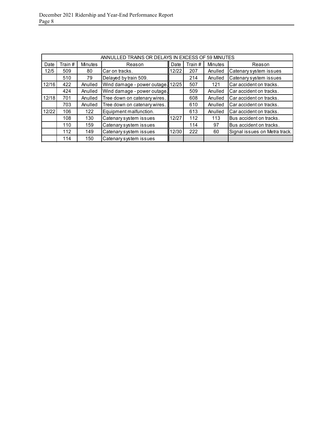|       | ANNULLED TRAINS OR DELAYS IN EXCESS OF 59 MINUTES |         |                                   |       |         |         |                               |  |  |
|-------|---------------------------------------------------|---------|-----------------------------------|-------|---------|---------|-------------------------------|--|--|
|       |                                                   |         |                                   |       |         |         |                               |  |  |
| Date  | Train #                                           | Minutes | Reason                            | Date  | Train # | Minutes | Reason                        |  |  |
| 12/5  | 509                                               | 80      | Car on tracks.                    | 12/22 | 207     | Anulled | Catenary system issues        |  |  |
|       | 510                                               | 79      | Delayed by train 509.             |       | 214     | Anulled | Catenary system issues        |  |  |
| 12/16 | 422                                               | Anulled | Wind damage - power outage. 12/25 |       | 507     | 121     | Car accident on tracks.       |  |  |
|       | 424                                               | Anulled | Wind damage - power outage.       |       | 509     | Anulled | Car accident on tracks.       |  |  |
| 12/18 | 701                                               | Anulled | Tree down on catenary wires.      |       | 608     | Anulled | Car accident on tracks.       |  |  |
|       | 703                                               | Anulled | Tree down on catenary wires.      |       | 610     | Anulled | Car accident on tracks.       |  |  |
| 12/22 | 106                                               | 122     | Equipment malfunction.            |       | 613     | Anulled | Car accident on tracks.       |  |  |
|       | 108                                               | 130     | Catenary system issues            | 12/27 | 112     | 113     | Bus accident on tracks.       |  |  |
|       | 110                                               | 159     | Catenary system issues            |       | 114     | 97      | Bus accident on tracks.       |  |  |
|       | 112                                               | 149     | Catenary system issues            | 12/30 | 222     | 60      | Signal issues on Metra track. |  |  |
|       | 114                                               | 150     | Catenary system issues            |       |         |         |                               |  |  |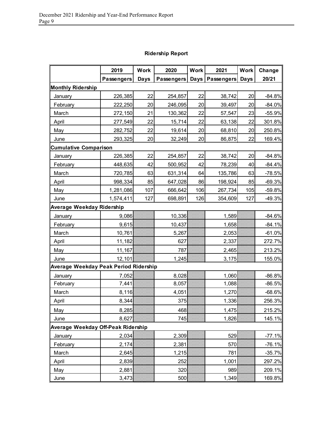|                                       | 2019              | <b>Work</b> | 2020              | <b>Work</b> | 2021              | <b>Work</b> | Change   |
|---------------------------------------|-------------------|-------------|-------------------|-------------|-------------------|-------------|----------|
|                                       | <b>Passengers</b> | <b>Days</b> | Passengers   Days |             | <b>Passengers</b> | <b>Days</b> | 20/21    |
| <b>Monthly Ridership</b>              |                   |             |                   |             |                   |             |          |
| January                               | 226,385           | 22          | 254,857           | 22          | 38,742            | 20          | $-84.8%$ |
| February                              | 222,250           | 20          | 246,095           | 20          | 39,497            | 20          | $-84.0%$ |
| March                                 | 272,150           | 21          | 130,362           | 22          | 57,547            | 23          | $-55.9%$ |
| April                                 | 277,549           | 22          | 15,714            | 22          | 63,138            | 22          | 301.8%   |
| May                                   | 282,752           | 22          | 19,614            | 20          | 68,810            | 20          | 250.8%   |
| June                                  | 293,325           | 20          | 32,249            | 20          | 86,875            | 22          | 169.4%   |
| <b>Cumulative Comparison</b>          |                   |             |                   |             |                   |             |          |
| January                               | 226,385           | 22          | 254,857           | 22          | 38,742            | 20          | $-84.8%$ |
| February                              | 448,635           | 42          | 500,952           | 42          | 78,239            | 40          | $-84.4%$ |
| March                                 | 720,785           | 63          | 631,314           | 64          | 135,786           | 63          | $-78.5%$ |
| April                                 | 998,334           | 85          | 647,028           | 86          | 198,924           | 85          | $-69.3%$ |
| May                                   | 1,281,086         | 107         | 666,642           | 106         | 267,734           | 105         | $-59.8%$ |
| June                                  | 1,574,411         | 127         | 698,891           | 126         | 354,609           | 127         | $-49.3%$ |
| Average Weekday Ridership             |                   |             |                   |             |                   |             |          |
| January                               | 9,086             |             | 10,336            |             | 1,589             |             | $-84.6%$ |
| February                              | 9,615             |             | 10,437            |             | 1,658             |             | $-84.1%$ |
| March                                 | 10,761            |             | 5,267             |             | 2,053             |             | $-61.0%$ |
| April                                 | 11,182            |             | 627               |             | 2,337             |             | 272.7%   |
| May                                   | 11,167            |             | 787               |             | 2,465             |             | 213.2%   |
| June                                  | 12,101            |             | 1,245             |             | 3,175             |             | 155.0%   |
| Average Weekday Peak Period Ridership |                   |             |                   |             |                   |             |          |
| January                               | 7,052             |             | 8,028             |             | 1,060             |             | $-86.8%$ |
| February                              | 7,441             |             | 8,057             |             | 1,088             |             | $-86.5%$ |
| March                                 | 8,116             |             | 4,051             |             | 1,270             |             | $-68.6%$ |
| April                                 | 8,344             |             | 375               |             | 1,336             |             | 256.3%   |
| May                                   | 8,285             |             | 468               |             | 1,475             |             | 215.2%   |
| June                                  | 8,627             |             | 745               |             | 1,826             |             | 145.1%   |
| Average Weekday Off-Peak Ridership    |                   |             |                   |             |                   |             |          |
| January                               | 2,034             |             | 2,309             |             | 529               |             | $-77.1%$ |
| February                              | 2,174             |             | 2,381             |             | 570               |             | $-76.1%$ |
| March                                 | 2,645             |             | 1,215             |             | 781               |             | $-35.7%$ |
| April                                 | 2,839             |             | 252               |             | 1,001             |             | 297.2%   |
| May                                   | 2,881             |             | 320               |             | 989               |             | 209.1%   |
| June                                  | 3,473             |             | 500               |             | 1,349             |             | 169.8%   |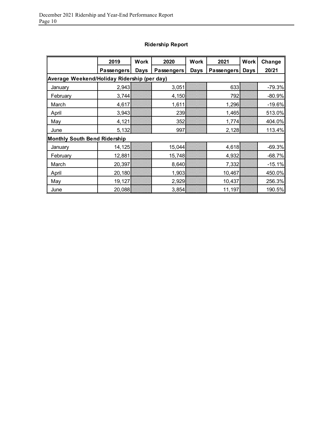|                                             | 2019       | <b>Work</b> | 2020              | <b>Work</b> | 2021       | <b>Work</b> | Change   |
|---------------------------------------------|------------|-------------|-------------------|-------------|------------|-------------|----------|
|                                             | Passengers | <b>Days</b> | <b>Passengers</b> | <b>Days</b> | Passengers | Days        | 20/21    |
| Average Weekend/Holiday Ridership (per day) |            |             |                   |             |            |             |          |
| January                                     | 2,943      |             | 3,051             |             | 633        |             | $-79.3%$ |
| February                                    | 3,744      |             | 4,150             |             | 792        |             | $-80.9%$ |
| March                                       | 4,617      |             | 1,611             |             | 1,296      |             | $-19.6%$ |
| April                                       | 3,943      |             | 239               |             | 1,465      |             | 513.0%   |
| May                                         | 4,121      |             | 352               |             | 1,774      |             | 404.0%   |
| June                                        | 5,132      |             | 997               |             | 2,128      |             | 113.4%   |
| Monthly South Bend Ridership                |            |             |                   |             |            |             |          |
| January                                     | 14,125     |             | 15,044            |             | 4,618      |             | $-69.3%$ |
| February                                    | 12,881     |             | 15,748            |             | 4,932      |             | $-68.7%$ |
| March                                       | 20,397     |             | 8,640             |             | 7,332      |             | $-15.1%$ |
| April                                       | 20,180     |             | 1,903             |             | 10,467     |             | 450.0%   |
| May                                         | 19,127     |             | 2,929             |             | 10,437     |             | 256.3%   |
| June                                        | 20,088     |             | 3,854             |             | 11,197     |             | 190.5%   |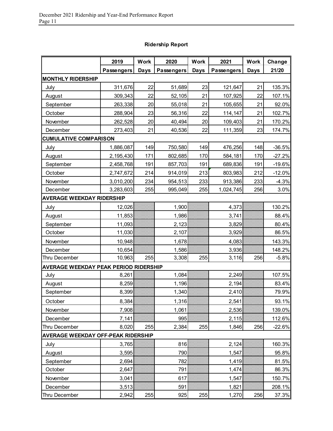|                                           | 2019              | <b>Work</b> | 2020       | <b>Work</b> | 2021              | <b>Work</b> | Change   |
|-------------------------------------------|-------------------|-------------|------------|-------------|-------------------|-------------|----------|
|                                           | <b>Passengers</b> | <b>Days</b> | Passengers | <b>Days</b> | <b>Passengers</b> | Days        | 21/20    |
| <b>MONTHLY RIDERSHIP</b>                  |                   |             |            |             |                   |             |          |
| July                                      | 311,676           | 22          | 51,689     | 23          | 121,647           | 21          | 135.3%   |
| August                                    | 309,343           | 22          | 52,105     | 21          | 107,925           | 22          | 107.1%   |
| September                                 | 263,338           | 20          | 55,018     | 21          | 105,655           | 21          | 92.0%    |
| October                                   | 288,904           | 23          | 56,316     | 22          | 114,147           | 21          | 102.7%   |
| November                                  | 262,528           | 20          | 40,494     | 20          | 109,403           | 21          | 170.2%   |
| December                                  | 273,403           | 21          | 40,536     | 22          | 111,359           | 23          | 174.7%   |
| <b>CUMULATIVE COMPARISON</b>              |                   |             |            |             |                   |             |          |
| July                                      | 1,886,087         | 149         | 750,580    | 149         | 476,256           | 148         | $-36.5%$ |
| August                                    | 2,195,430         | 171         | 802,685    | 170         | 584,181           | 170         | $-27.2%$ |
| September                                 | 2,458,768         | 191         | 857,703    | 191         | 689,836           | 191         | $-19.6%$ |
| October                                   | 2,747,672         | 214         | 914,019    | 213         | 803,983           | 212         | $-12.0%$ |
| November                                  | 3,010,200         | 234         | 954,513    | 233         | 913,386           | 233         | $-4.3%$  |
| December                                  | 3,283,603         | 255         | 995,049    | 255         | 1,024,745         | 256         | 3.0%     |
| <b>AVERAGE WEEKDAY RIDERSHIP</b>          |                   |             |            |             |                   |             |          |
| July                                      | 12,026            |             | 1,900      |             | 4,373             |             | 130.2%   |
| August                                    | 11,853            |             | 1,986      |             | 3,741             |             | 88.4%    |
| September                                 | 11,093            |             | 2,123      |             | 3,829             |             | 80.4%    |
| October                                   | 11,030            |             | 2,107      |             | 3,929             |             | 86.5%    |
| November                                  | 10,948            |             | 1,678      |             | 4,083             |             | 143.3%   |
| December                                  | 10,654            |             | 1,586      |             | 3,936             |             | 148.2%   |
| Thru December                             | 10,963            | 255         | 3,308      | 255         | 3,116             | 256         | $-5.8%$  |
| AVERAGE WEEKDAY PEAK PERIOD RIDERSHIP     |                   |             |            |             |                   |             |          |
| July                                      | 8,261             |             | 1,084      |             | 2,249             |             | 107.5%   |
| August                                    | 8,259             |             | 1,196      |             | 2,194             |             | 83.4%    |
| September                                 | 8,399             |             | 1,340      |             | 2,410             |             | 79.9%    |
| October                                   | 8,384             |             | 1,316      |             | 2,541             |             | 93.1%    |
| November                                  | 7,908             |             | 1,061      |             | 2,536             |             | 139.0%   |
| December                                  | 7,141             |             | 995        |             | 2,115             |             | 112.6%   |
| Thru December                             | 8,020             | 255         | 2,384      | 255         | 1,846             | 256         | $-22.6%$ |
| <b>AVERAGE WEEKDAY OFF-PEAK RIDERSHIP</b> |                   |             |            |             |                   |             |          |
| July                                      | 3,765             |             | 816        |             | 2,124             |             | 160.3%   |
| August                                    | 3,595             |             | 790        |             | 1,547             |             | 95.8%    |
| September                                 | 2,694             |             | 782        |             | 1,419             |             | 81.5%    |
| October                                   | 2,647             |             | 791        |             | 1,474             |             | 86.3%    |
| November                                  | 3,041             |             | 617        |             | 1,547             |             | 150.7%   |
| December                                  | 3,513             |             | 591        |             | 1,821             |             | 208.1%   |
| Thru December                             | 2,942             | 255         | 925        | 255         | 1,270             | 256         | 37.3%    |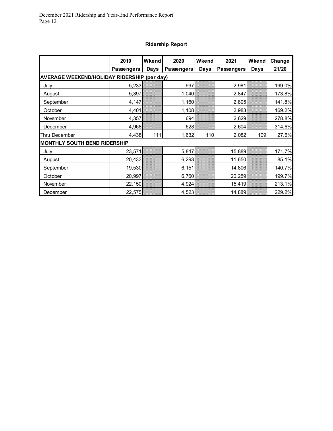|                                     | 2019                                               | Wkend | 2020       | Wkend       | 2021       | Wkend | Change |  |  |  |
|-------------------------------------|----------------------------------------------------|-------|------------|-------------|------------|-------|--------|--|--|--|
|                                     | <b>Passengers</b>                                  | Days  | Passengers | <b>Days</b> | Passengers | Days  | 21/20  |  |  |  |
|                                     | <b>AVERAGE WEEKEND/HOLIDAY RIDERSHIP (per day)</b> |       |            |             |            |       |        |  |  |  |
| July                                | 5,233                                              |       | 997        |             | 2,981      |       | 199.0% |  |  |  |
| August                              | 5,397                                              |       | 1,040      |             | 2,847      |       | 173.8% |  |  |  |
| September                           | 4,147                                              |       | 1,160      |             | 2,805      |       | 141.8% |  |  |  |
| October                             | 4,401                                              |       | 1,108      |             | 2,983      |       | 169.2% |  |  |  |
| November                            | 4,357                                              |       | 694        |             | 2,629      |       | 278.8% |  |  |  |
| December                            | 4,968                                              |       | 628        |             | 2,604      |       | 314.6% |  |  |  |
| Thru December                       | 4,438                                              | 111   | 1,632      | 110         | 2,082      | 109   | 27.6%  |  |  |  |
| <b>MONTHLY SOUTH BEND RIDERSHIP</b> |                                                    |       |            |             |            |       |        |  |  |  |
| July                                | 23,571                                             |       | 5,847      |             | 15,889     |       | 171.7% |  |  |  |
| August                              | 20,433                                             |       | 6,293      |             | 11,650     |       | 85.1%  |  |  |  |
| September                           | 19,530                                             |       | 6, 151     |             | 14,806     |       | 140.7% |  |  |  |
| October                             | 20,997                                             |       | 6,760      |             | 20,259     |       | 199.7% |  |  |  |
| November                            | 22,150                                             |       | 4,924      |             | 15,419     |       | 213.1% |  |  |  |
| December                            | 22,575                                             |       | 4,523      |             | 14,889     |       | 229.2% |  |  |  |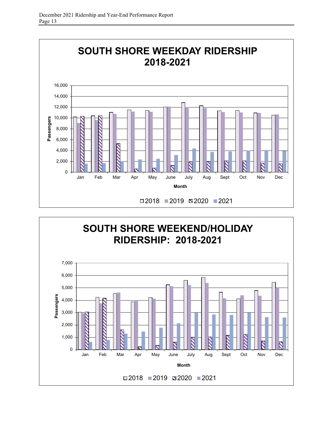

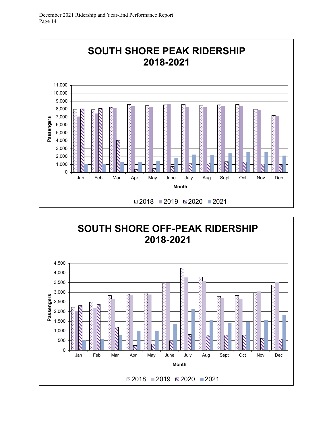

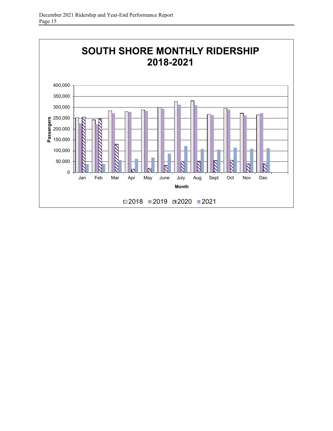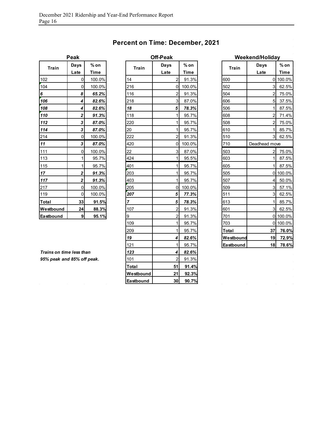| <b>Percent on Time: December, 2021</b> |  |  |  |
|----------------------------------------|--|--|--|
|----------------------------------------|--|--|--|

**Off-Peak** 

| Peak      |                |        |  |  |  |  |  |
|-----------|----------------|--------|--|--|--|--|--|
| Train     | Days           | % on   |  |  |  |  |  |
|           | Late           | Time   |  |  |  |  |  |
| 102       | 0              | 100.0% |  |  |  |  |  |
| 104       | 0              | 100.0% |  |  |  |  |  |
| 6         | 8              | 65.2%  |  |  |  |  |  |
| 106       | 4              | 82.6%  |  |  |  |  |  |
| 108       | 4              | 82.6%  |  |  |  |  |  |
| 110       | $\overline{2}$ | 91.3%  |  |  |  |  |  |
| 112       | 3              | 87.0%  |  |  |  |  |  |
| 114       | 3              | 87.0%  |  |  |  |  |  |
| 214       | 0              | 100.0% |  |  |  |  |  |
| 11        | 3              | 87.0%  |  |  |  |  |  |
| 111       | 0              | 100.0% |  |  |  |  |  |
| 113       | 1              | 95.7%  |  |  |  |  |  |
| 115       | 1              | 95.7%  |  |  |  |  |  |
| 17        | 2              | 91.3%  |  |  |  |  |  |
| 117       | $\overline{2}$ | 91.3%  |  |  |  |  |  |
| 217       | O              | 100.0% |  |  |  |  |  |
| 119       | 0              | 100.0% |  |  |  |  |  |
| Total     | 33             | 91.5%  |  |  |  |  |  |
| Westbound | 24             | 88.3%  |  |  |  |  |  |
| Eastbound | 9              | 95.1%  |  |  |  |  |  |

| Train                      | Days             | $%$ on      | <b>Train</b>   | Days                    | $%$ on      | <b>Train</b> | Days                                                                                                                                                                                                                                                                                                            | $%$ on      |
|----------------------------|------------------|-------------|----------------|-------------------------|-------------|--------------|-----------------------------------------------------------------------------------------------------------------------------------------------------------------------------------------------------------------------------------------------------------------------------------------------------------------|-------------|
|                            | Late             | <b>Time</b> |                | Late                    | <b>Time</b> |              | Late<br>3I<br>$\overline{2}$<br>5 <sub>l</sub><br>11<br>2 <sub>l</sub><br>$\overline{2}$<br>1 <sup>1</sup><br>$\overline{3}$<br>Deadhead move<br>$\overline{2}$<br>11<br>1 <sup>1</sup><br>4 <sup>1</sup><br>3 <sup>l</sup><br>3 <sup>1</sup><br>$\mathbf{1}$<br>3I<br>37<br>19 <sup>l</sup><br>18 <sup>1</sup> | <b>Time</b> |
| 102                        | $\Omega$         | 100.0%      | 14             | $\overline{2}$          | 91.3%       | 600          |                                                                                                                                                                                                                                                                                                                 | 0 100.0%    |
| 104                        | 0                | 100.0%      | 216            | 0                       | 100.0%      | 502          |                                                                                                                                                                                                                                                                                                                 | 62.5%       |
| 6                          | 8                | 65.2%       | 116            | $\overline{c}$          | 91.3%       | 504          |                                                                                                                                                                                                                                                                                                                 | 75.0%       |
| 106                        | 4                | 82.6%       | 218            | $\overline{3}$          | 87.0%       | 606          |                                                                                                                                                                                                                                                                                                                 | 37.5%       |
| 108                        | 4                | 82.6%       | 18             | 5                       | 78.3%       | 506          |                                                                                                                                                                                                                                                                                                                 | 87.5%       |
| 110                        | 2                | 91.3%       | 118            | 1                       | 95.7%       | 608          |                                                                                                                                                                                                                                                                                                                 | 71.4%       |
| 112                        | 3                | 87.0%       | 220            | $\mathbf{1}$            | 95.7%       | 508          |                                                                                                                                                                                                                                                                                                                 | 75.0%       |
| 114                        | 3                | 87.0%       | 20             | $\mathbf{1}$            | 95.7%       | 610          |                                                                                                                                                                                                                                                                                                                 | 85.7%       |
| 214                        | 0                | 100.0%      | 222            | $\overline{c}$          | 91.3%       | 510          |                                                                                                                                                                                                                                                                                                                 | 62.5%       |
| 11                         | 3                | 87.0%       | 420            | 0                       | 100.0%      | 710          |                                                                                                                                                                                                                                                                                                                 |             |
| 111                        | 0                | 100.0%      | 22             | $\overline{3}$          | 87.0%       | 503          |                                                                                                                                                                                                                                                                                                                 | 75.0%       |
| 113                        | 1                | 95.7%       | 424            | $\mathbf{1}$            | 95.5%       | 603          |                                                                                                                                                                                                                                                                                                                 | 87.5%       |
| <u>115</u>                 | 1                | 95.7%       | 401            | $\mathbf{1}$            | 95.7%       | 605          |                                                                                                                                                                                                                                                                                                                 | 87.5%       |
| 17 <sub>2</sub>            | $\mathbf{2}$     | 91.3%       | 203            | $\mathbf{1}$            | 95.7%       | 505          |                                                                                                                                                                                                                                                                                                                 | 0 100.0%    |
| 117                        | $\mathbf{2}$     | 91.3%       | 403            | 1                       | 95.7%       | 507          |                                                                                                                                                                                                                                                                                                                 | 50.0%       |
| 217                        | $\mathbf 0$      | 100.0%      | 205            | 0                       | 100.0%      | 509          |                                                                                                                                                                                                                                                                                                                 | 57.1%       |
| 119                        | $\mathbf 0$      | 100.0%      | 207            | $\sqrt{5}$              | 77.3%       | 511          |                                                                                                                                                                                                                                                                                                                 | 62.5%       |
| Total                      | 33               | 91.5%       | $\overline{7}$ | 5                       | 78.3%       | 613          |                                                                                                                                                                                                                                                                                                                 | 85.7%       |
| Westbound                  | 24               | 88.3%       | 107            | $\overline{c}$          | 91.3%       | 601          |                                                                                                                                                                                                                                                                                                                 | 62.5%       |
| Eastbound                  | $\boldsymbol{9}$ | 95.1%       | 9              | $\overline{\mathbf{c}}$ | 91.3%       | 701          |                                                                                                                                                                                                                                                                                                                 | 0 100.0%    |
|                            |                  |             | 109            | $\mathbf{1}$            | 95.7%       | 703          |                                                                                                                                                                                                                                                                                                                 | 0 100.0%    |
|                            |                  |             | 209            | $\mathbf{1}$            | 95.7%       | Total        |                                                                                                                                                                                                                                                                                                                 | 76.0%       |
|                            |                  |             | 19             | 4                       | 82.6%       | Westbound    |                                                                                                                                                                                                                                                                                                                 | 72.9%       |
|                            |                  |             | 121            | $\mathbf{1}$            | 95.7%       | Eastbound    |                                                                                                                                                                                                                                                                                                                 | 78.6%       |
| Trains on time less than   |                  |             | 123            | 4                       | 82.6%       |              |                                                                                                                                                                                                                                                                                                                 |             |
| 95% peak and 85% off peak. |                  |             | 101            | $\overline{2}$          | 91.3%       |              |                                                                                                                                                                                                                                                                                                                 |             |
|                            |                  |             | Total          | 51                      | 91.4%       |              |                                                                                                                                                                                                                                                                                                                 |             |
|                            |                  |             | Westbound      | 21                      | 92.3%       |              |                                                                                                                                                                                                                                                                                                                 |             |
|                            |                  |             | Eastbound      | 30 <sup>1</sup>         | 90.7%       |              |                                                                                                                                                                                                                                                                                                                 |             |

|              | Weekend/Holiday |             |  |  |  |  |
|--------------|-----------------|-------------|--|--|--|--|
| <b>Train</b> | Days            | % on        |  |  |  |  |
|              | Late            | <b>Time</b> |  |  |  |  |
| 600          | 0               | 100.0%      |  |  |  |  |
| 502          | 3               | 62.5%       |  |  |  |  |
| 504          | $\overline{c}$  | 75.0%       |  |  |  |  |
| 606          | 5               | 37.5%       |  |  |  |  |
| 506          | 1               | 87.5%       |  |  |  |  |
| 608          | $\overline{c}$  | 71.4%       |  |  |  |  |
| 508          | $\overline{c}$  | 75.0%       |  |  |  |  |
| 610          | 1               | 85.7%       |  |  |  |  |
| 510          | 3               | 62.5%       |  |  |  |  |
| 710          | Deadhead move   |             |  |  |  |  |
| 503          | 2               | 75.0%       |  |  |  |  |
| 603          | 1               | 87.5%       |  |  |  |  |
| 605          | 1               | 87.5%       |  |  |  |  |
| 505          | 0               | 100.0%      |  |  |  |  |
| 507          | 4               | 50.0%       |  |  |  |  |
| 509          | 3               | 57.1%       |  |  |  |  |
| 511          | 3               | 62.5%       |  |  |  |  |
| 613          | 1               | 85.7%       |  |  |  |  |
| 601          | 3               | 62.5%       |  |  |  |  |
| 701          | 0               | 100.0%      |  |  |  |  |
| 703          | 0               | 100.0%      |  |  |  |  |
| Total        | 37              | 76.0%       |  |  |  |  |
| Westbound    | 19              | 72.9%       |  |  |  |  |
| Eastbound    | 18              | 78.6%       |  |  |  |  |

 $\bar{\omega}$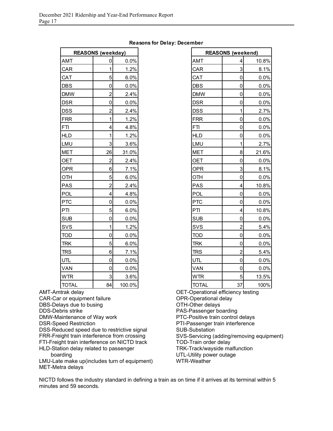#### **Reasons for Delay: December**

| <b>REASONS (weekday)</b> |                |        |  |  |  |  |  |
|--------------------------|----------------|--------|--|--|--|--|--|
| AMT                      | 0              | 0.0%   |  |  |  |  |  |
| CAR                      | 1              | 1.2%   |  |  |  |  |  |
| CAT                      | 5              | 6.0%   |  |  |  |  |  |
| DBS                      | 0              | 0.0%   |  |  |  |  |  |
| <b>DMW</b>               | $\overline{c}$ | 2.4%   |  |  |  |  |  |
| <b>DSR</b>               | 0              | 0.0%   |  |  |  |  |  |
| DSS                      | $\overline{2}$ | 2.4%   |  |  |  |  |  |
| <b>FRR</b>               | 1              | 1.2%   |  |  |  |  |  |
| <b>FTI</b>               | 4              | 4.8%   |  |  |  |  |  |
| <b>HLD</b>               | 1              | 1.2%   |  |  |  |  |  |
| LMU                      | 3              | 3.6%   |  |  |  |  |  |
| <b>MET</b>               | 26             | 31.0%  |  |  |  |  |  |
| <b>OET</b>               | $\overline{c}$ | 2.4%   |  |  |  |  |  |
| OPR                      | 6              | 7.1%   |  |  |  |  |  |
| OTH                      | 5              | 6.0%   |  |  |  |  |  |
| PAS                      | $\overline{c}$ | 2.4%   |  |  |  |  |  |
| POL                      | 4              | 4.8%   |  |  |  |  |  |
| <b>PTC</b>               | 0              | 0.0%   |  |  |  |  |  |
| PTI                      | 5              | 6.0%   |  |  |  |  |  |
| <b>SUB</b>               | 0              | 0.0%   |  |  |  |  |  |
| SV <sub>S</sub>          | 1              | 1.2%   |  |  |  |  |  |
| TOD                      | 0              | 0.0%   |  |  |  |  |  |
| <b>TRK</b>               | 5              | 6.0%   |  |  |  |  |  |
| TRS                      | 6              | 7.1%   |  |  |  |  |  |
| UTL                      | 0              | 0.0%   |  |  |  |  |  |
| VAN                      | 0              | 0.0%   |  |  |  |  |  |
| WTR                      | 3              | 3.6%   |  |  |  |  |  |
| TOTAL                    | 84             | 100.0% |  |  |  |  |  |

AMT-Amtrak delay

CAR-Car or equipment failure

DBS-Delays due to busing

DDS-Debris strike

DMW-Maintenance of Way work

DSR-Speed Restriction

DSS-Reduced speed due to restrictive signal FRR-Freight train interference from crossing

FTI-Freight train interference on NICTD track

HLD-Station delay related to passenger boarding

LMU-Late make up(includes turn of equipment) MET-Metra delays

|              | <b>REASONS (weekday)</b> |        |              | <b>REASONS (weekend)</b> |       |
|--------------|--------------------------|--------|--------------|--------------------------|-------|
| AMT          | 0                        | 0.0%   | <b>AMT</b>   | 4                        | 10.8% |
| CAR          | $\mathbf{1}$             | 1.2%   | CAR          | 3                        | 8.1%  |
| CAT          | 5                        | 6.0%   | CAT          | 0                        | 0.0%  |
| DBS          | $\pmb{0}$                | 0.0%   | <b>DBS</b>   | 0                        | 0.0%  |
| <b>DMW</b>   | $\overline{2}$           | 2.4%   | <b>DMW</b>   | 0                        | 0.0%  |
| DSR          | $\mathbf 0$              | 0.0%   | <b>DSR</b>   | 0                        | 0.0%  |
| DSS          | $\overline{2}$           | 2.4%   | <b>DSS</b>   | 1                        | 2.7%  |
| FRR          | 1                        | 1.2%   | <b>FRR</b>   | $\pmb{0}$                | 0.0%  |
| FTI          | 4                        | 4.8%   | <b>FTI</b>   | 0                        | 0.0%  |
| <b>HLD</b>   | 1                        | 1.2%   | <b>HLD</b>   | 0                        | 0.0%  |
| LMU          | 3                        | 3.6%   | LMU          | 1                        | 2.7%  |
| MET          | 26                       | 31.0%  | <b>MET</b>   | 8                        | 21.6% |
| OET          | $\overline{2}$           | 2.4%   | <b>OET</b>   | 0                        | 0.0%  |
| OPR          | 6                        | 7.1%   | <b>OPR</b>   | 3                        | 8.1%  |
| OTH          | 5                        | 6.0%   | OTH          | $\mathbf 0$              | 0.0%  |
| PAS          | $\overline{2}$           | 2.4%   | <b>PAS</b>   | 4                        | 10.8% |
| POL          | 4                        | 4.8%   | POL          | 0                        | 0.0%  |
| PTC          | 0                        | 0.0%   | <b>PTC</b>   | 0                        | 0.0%  |
| PTI          | 5                        | 6.0%   | PTI          | 4                        | 10.8% |
| SUB          | $\mathbf 0$              | 0.0%   | <b>SUB</b>   | 0                        | 0.0%  |
| SVS          | 1                        | 1.2%   | SVS          | $\overline{c}$           | 5.4%  |
| TOD          | $\mathbf 0$              | 0.0%   | <b>TOD</b>   | $\mathbf 0$              | 0.0%  |
| TRK          | 5                        | 6.0%   | <b>TRK</b>   | 0                        | 0.0%  |
| TRS          | 6                        | 7.1%   | <b>TRS</b>   | $\overline{2}$           | 5.4%  |
| UTL          | $\mathbf 0$              | 0.0%   | UTL.         | $\mathbf 0$              | 0.0%  |
| VAN          | $\mathbf 0$              | 0.0%   | VAN          | $\mathbf 0$              | 0.0%  |
| WTR          | 3                        | 3.6%   | <b>WTR</b>   | 5                        | 13.5% |
| <b>TOTAL</b> | 84                       | 100.0% | <b>TOTAL</b> | 37<br>$\sim$             | 100%  |

OET-Operational efficiency testing OPR-Operational delay OTH-Other delays PAS-Passenger boarding PTC-Positive train control delays PTI-Passenger train interference SUB-Substation SVS-Servicing (adding/removing equipment) TOD-Train order delay TRK-Track/wayside malfunction UTL-Utility power outage WTR-Weather

NICTD follows the industry standard in defining a train as on time if it arrives at its terminal within 5 minutes and 59 seconds.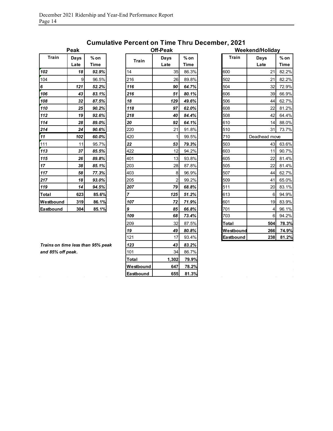|           | can          |              |
|-----------|--------------|--------------|
| Train     | Days<br>Late | % on<br>Time |
| 102       | 18           | 92.9%        |
| 104       | 9            | 96.5%        |
| 6         | 121          | 52.2%        |
| 106       | 43           | 83.1%        |
| 108       | 32           | 87.5%        |
| 110       | 25           | 90.2%        |
| 112       | 19           | 92.6%        |
| 114       | 28           | 89.0%        |
| 214       | 24           | 90.6%        |
| 11        | 102          | 60.0%        |
| 111       | 11           | 95.7%        |
| 113       | 37           | 85.5%        |
| 115       | 26           | 89.8%        |
| 17        | 38           | 85.1%        |
| 117       | 58           | 77.3%        |
| 217       | 18           | 93.0%        |
| 119       | 14           | 94.5%        |
| Total     | 623          | 85.6%        |
| Westbound | 319          | 86.1%        |
| Eastbound | 304          | 85.1%        |

## **Cumulative Percent on Time Thru December, 2021**

| <b>Train</b>                      | Days<br>Late | $%$ on<br><b>Time</b> |       | <b>Train</b> | Days<br>Late            | $%$ on<br><b>Time</b> | <b>Train</b> | Days<br>Late   | $%$ on<br><b>Time</b> |
|-----------------------------------|--------------|-----------------------|-------|--------------|-------------------------|-----------------------|--------------|----------------|-----------------------|
| 102                               | 18           | 92.9%                 | 14    |              | 35                      | 86.3%                 | 600          | 21             | 82.2%                 |
| 104                               | 9            | 96.5%                 | 216   |              | 26                      | 89.8%                 | 502          | 21             | 82.2%                 |
| 6                                 | 121          | 52.2%                 | 116   |              | 90                      | 64.7%                 | 504          | 32             | 72.9%                 |
| 106                               | 43           | 83.1%                 | 216   |              | 51                      | 80.1%                 | 606          | 39             | 66.9%                 |
| 108                               | 32           | 87.5%                 | 18    |              | 129                     | 49.6%                 | 506          | 44             | 62.7%                 |
| 110                               | 25           | 90.2%                 | 118   |              | 97                      | 62.0%                 | 608          | 22             | 81.2%                 |
| 112                               | 19           | 92.6%                 | 218   |              | 40                      | 84.4%                 | 508          | 42             | 64.4%                 |
| 114                               | 28           | 89.0%                 | 20    |              | 92                      | 64.1%                 | 610          | 14             | 88.0%                 |
| 214                               | 24           | 90.6%                 | 220   |              | 21                      | 91.8%                 | 510          | 31             | 73.7%                 |
| 11                                | 102          | 60.0%                 | 420   |              | $\mathbf{1}$            | 99.5%                 | 710          | Deadhead move  |                       |
| 111                               | 11           | 95.7%                 | 22    |              | 53                      | 79.3%                 | 503          | 43             | 63.6%                 |
| 113                               | 37           | 85.5%                 | 422   |              | 12                      | 94.2%                 | 603          | 11             | 90.7%                 |
| <u> 115</u>                       | 26           | 89.8%                 | 401   |              | 13                      | 93.8%                 | 605          | 22             | 81.4%                 |
| 17 <sub>2</sub>                   | 38           | 85.1%                 | 203   |              | 28                      | 87.8%                 | 505          | 22             | 81.4%                 |
| 117                               | 58           | 77.3%                 | 403   |              | 8 <sup>1</sup>          | 96.9%                 | 507          | 44             | 62.7%                 |
| 217                               | 18           | 93.0%                 | 205   |              | $\overline{\mathbf{c}}$ | 99.2%                 | 509          | 41             | 65.0%                 |
| 119                               | 14           | 94.5%                 | 207   |              | 79                      | 68.8%                 | 511          | 20             | 83.1%                 |
| Total                             | 623          | 85.6%                 | 7     |              | 125                     | 51.2%                 | 613          | 6 <sup>1</sup> | 94.9%                 |
| Westbound                         | 319          | 86.1%                 | 107   |              | 72                      | 71.9%                 | 601          | 19             | 83.9%                 |
| Eastbound                         | 304          | 85.1%                 | 9     |              | 85                      | 66.8%                 | 701          | $\overline{4}$ | 96.1%                 |
|                                   |              |                       | 109   |              | 68                      | 73.4%                 | 703          | $6 \mid$       | 94.2%                 |
|                                   |              |                       | 209   |              | 32                      | 87.5%                 | Total        | 504            | 78.3%                 |
|                                   |              |                       | 19    |              | 49                      | 80.8%                 | Westbound    | 266            | 74.9%                 |
|                                   |              |                       | 121   |              | 17                      | 93.4%                 | Eastbound    | 238            | 81.2%                 |
| Trains on time less than 95% peak |              |                       | 123   |              | 43                      | 83.2%                 |              |                |                       |
| and 85% off peak.                 |              |                       | 101   |              | 34                      | 86.7%                 |              |                |                       |
|                                   |              |                       | Total |              | 1,302                   | 79.9%                 |              |                |                       |
|                                   |              |                       |       | Westbound    | 647                     | 78.2%                 |              |                |                       |
|                                   |              |                       |       | Eastbound    | 655                     | 81.3%                 |              |                |                       |

| Peak |        |                | <b>Off-Peak</b> |             |              | <b>Weekend/Holiday</b> |        |
|------|--------|----------------|-----------------|-------------|--------------|------------------------|--------|
| Days | $%$ on | <b>Train</b>   | Days            | $%$ on      | <b>Train</b> | Days                   | $%$ on |
| Late | Time   |                | Late            | <b>Time</b> |              | Late                   | Time   |
| 18   | 92.9%  | 14             | 35              | 86.3%       | 600          | 21                     | 82.2%  |
| 9    | 96.5%  | 216            | 26              | 89.8%       | 502          | 21                     | 82.2%  |
| 121  | 52.2%  | 116            | 90              | 64.7%       | 504          | 32                     | 72.9%  |
| 43   | 83.1%  | 216            | 51              | 80.1%       | 606          | 39                     | 66.9%  |
| 32   | 87.5%  | 18             | 129             | 49.6%       | 506          | 44                     | 62.7%  |
| 25   | 90.2%  | 118            | 97              | 62.0%       | 608          | 22                     | 81.2%  |
| 19   | 92.6%  | 218            | 40              | 84.4%       | 508          | 42                     | 64.4%  |
| 28   | 89.0%  | 20             | 92              | 64.1%       | 610          | 14                     | 88.0%  |
| 24   | 90.6%  | 220            | 21              | 91.8%       | 510          | 31                     | 73.7%  |
| 102  | 60.0%  | 420            | 1               | 99.5%       | 710          | Deadhead move          |        |
| 11   | 95.7%  | 22             | 53              | 79.3%       | 503          | 43                     | 63.6%  |
| 37   | 85.5%  | 422            | 12              | 94.2%       | 603          | 11                     | 90.7%  |
| 26   | 89.8%  | 401            | 13              | 93.8%       | 605          | 22                     | 81.4%  |
| 38   | 85.1%  | 203            | 28              | 87.8%       | 505          | 22                     | 81.4%  |
| 58   | 77.3%  | 403            | 8               | 96.9%       | 507          | 44                     | 62.7%  |
| 18   | 93.0%  | 205            | $\overline{2}$  | 99.2%       | 509          | 41                     | 65.0%  |
| 14   | 94.5%  | 207            | 79              | 68.8%       | 511          | 20                     | 83.1%  |
| 623  | 85.6%  | $\overline{7}$ | 125             | 51.2%       | 613          | 6                      | 94.9%  |
| 319  | 86.1%  | 107            | 72              | 71.9%       | 601          | 19                     | 83.9%  |
| 304  | 85.1%  | 9              | 85              | 66.8%       | 701          | $\overline{4}$         | 96.1%  |
|      |        | 109            | 68              | 73.4%       | 703          | 6                      | 94.2%  |
|      |        | 209            | 32              | 87.5%       | Total        | 504                    | 78.3%  |
|      |        | 19             | 49              | 80.8%       | Westbound    | 266                    | 74.9%  |
|      |        | 121            | 17              | 93.4%       | Eastbound    | 238                    | 81.2%  |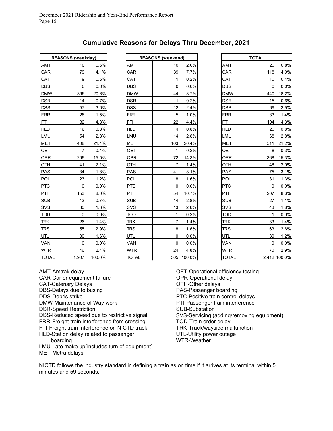| <b>REASONS (weekday)</b> |       |        |            |              | <b>REASONS</b> (weekend) |                |
|--------------------------|-------|--------|------------|--------------|--------------------------|----------------|
| <b>AMT</b>               | 10    | 0.5%   |            | AMT          | 10                       |                |
| CAR                      | 79    | 4.1%   |            | CAR          | 39                       |                |
| CAT                      | 9     | 0.5%   |            | <b>CAT</b>   | 1                        |                |
| <b>DBS</b>               | 0     | 0.0%   |            | <b>DBS</b>   | 0                        |                |
| <b>DMW</b>               | 396   | 20.8%  |            | <b>DMW</b>   | 44                       |                |
| <b>DSR</b>               | 14    | 0.7%   |            | <b>DSR</b>   | 1                        |                |
| <b>DSS</b>               | 57    | 3.0%   |            | <b>DSS</b>   | 12                       |                |
| <b>FRR</b>               | 28    | 1.5%   |            | <b>FRR</b>   | 5                        |                |
| <b>FTI</b>               | 82    | 4.3%   | <b>FTI</b> |              | 22                       |                |
| <b>HLD</b>               | 16    | 0.8%   |            | <b>HLD</b>   | 4                        |                |
| LMU                      | 54    | 2.8%   |            | LMU          | 14                       |                |
| <b>MET</b>               | 408   | 21.4%  |            | MET          | 103                      |                |
| OET                      | 7     | 0.4%   |            | OET          | 1                        |                |
| <b>OPR</b>               | 296   | 15.5%  |            | <b>OPR</b>   | 72                       |                |
| OTH                      | 41    | 2.1%   |            | OTH          | 7                        |                |
| <b>PAS</b>               | 34    | 1.8%   |            | PAS          | 41                       |                |
| POL                      | 23    | 1.2%   |            | POL          | 8                        |                |
| <b>PTC</b>               | 0     | 0.0%   |            | <b>PTC</b>   | 0                        |                |
| PTI                      | 153   | 8.0%   | PTI        |              | 54                       |                |
| <b>SUB</b>               | 13    | 0.7%   |            | <b>SUB</b>   | 14                       |                |
| <b>SVS</b>               | 30    | 1.6%   |            | SVS          | 13                       |                |
| <b>TOD</b>               | 0     | 0.0%   |            | <b>TOD</b>   | 1                        |                |
| <b>TRK</b>               | 26    | 1.4%   |            | <b>TRK</b>   | 7                        |                |
| <b>TRS</b>               | 55    | 2.9%   |            | <b>TRS</b>   | 8                        |                |
| UTL                      | 30    | 1.6%   | UTL        |              | 0                        |                |
| <b>VAN</b>               | 0     | 0.0%   |            | VAN          | 0                        |                |
| <b>WTR</b>               | 46    | 2.4%   |            | <b>WTR</b>   | 24                       |                |
| <b>TOTAL</b>             | 1,907 | 100.0% |            | <b>TOTAL</b> | 505                      | 1 <sup>1</sup> |

| <b>Cumulative Reasons for Delays Thru December, 2021</b> |  |  |  |  |  |  |
|----------------------------------------------------------|--|--|--|--|--|--|
|----------------------------------------------------------|--|--|--|--|--|--|

┑

|              | <b>REASONS (weekday)</b> |        |              | <b>REASONS (weekend)</b> |            |  |              |              | TOTAL     |  |
|--------------|--------------------------|--------|--------------|--------------------------|------------|--|--------------|--------------|-----------|--|
| <u>AMT</u>   | 10 <sup>1</sup>          | 0.5%   | AMT          | 10                       | 2.0%       |  | AMT          | 20           | 0.8%      |  |
| CAR          | 79                       | 4.1%   | CAR          | 39                       | 7.7%       |  | CAR          | 118          | 4.9%      |  |
| CAT          | $\overline{9}$           | 0.5%   | <b>CAT</b>   | 1                        | 0.2%       |  | <b>CAT</b>   | 10           | 0.4%      |  |
| DBS          | $\overline{0}$           | 0.0%   | <b>DBS</b>   | $\mathbf 0$              | 0.0%       |  | <b>DBS</b>   | $\Omega$     | 0.0%      |  |
| <b>DMW</b>   | 396                      | 20.8%  | <b>DMW</b>   | 44                       | 8.7%       |  | <b>DMW</b>   | 440          | 18.2%     |  |
| DSR          | 14                       | 0.7%   | <b>DSR</b>   | 1                        | 0.2%       |  | <b>DSR</b>   | 15           | 0.6%      |  |
| DSS          | 57                       | 3.0%   | <b>DSS</b>   | 12                       | 2.4%       |  | <b>DSS</b>   | 69           | 2.9%      |  |
| <b>FRR</b>   | 28                       | 1.5%   | <b>FRR</b>   | 5                        | 1.0%       |  | <b>FRR</b>   | 33           | 1.4%      |  |
| FTI          | 82                       | 4.3%   | <b>FTI</b>   | 22                       | 4.4%       |  | <b>FTI</b>   | 104          | 4.3%      |  |
| <b>HLD</b>   | 16                       | 0.8%   | <b>HLD</b>   | 4                        | 0.8%       |  | <b>HLD</b>   | 20           | 0.8%      |  |
| LMU          | 54                       | 2.8%   | LMU          | 14                       | 2.8%       |  | LMU          | 68           | 2.8%      |  |
| MET          | 408                      | 21.4%  | <b>MET</b>   | 103                      | 20.4%      |  | <b>MET</b>   | 511          | 21.2%     |  |
| OET          | $\overline{7}$           | 0.4%   | <b>OET</b>   | 1                        | 0.2%       |  | OET          | 8            | 0.3%      |  |
| OPR          | 296                      | 15.5%  | <b>OPR</b>   | 72                       | 14.3%      |  | <b>OPR</b>   | 368          | 15.3%     |  |
| OTH          | 41                       | 2.1%   | OTH          | $\overline{7}$           | 1.4%       |  | OTH          | 48           | 2.0%      |  |
| PAS          | 34                       | 1.8%   | <b>PAS</b>   | 41                       | 8.1%       |  | <b>PAS</b>   | 75           | 3.1%      |  |
| POL          | 23                       | 1.2%   | POL          | 8                        | 1.6%       |  | POL          | 31           | 1.3%      |  |
| PTC          | $\overline{0}$           | 0.0%   | <b>PTC</b>   | $\Omega$                 | 0.0%       |  | <b>PTC</b>   | $\Omega$     | 0.0%      |  |
| PTI          | 153                      | 8.0%   | PTI          | 54                       | 10.7%      |  | PTI          | 207          | 8.6%      |  |
| SUB          | 13                       | 0.7%   | <b>SUB</b>   | 14                       | 2.8%       |  | <b>SUB</b>   | 27           | 1.1%      |  |
| SVS          | 30 <sup>1</sup>          | 1.6%   | SVS          | 13                       | 2.6%       |  | SVS          | 43           | 1.8%      |  |
| TOD          | $\pmb{0}$                | 0.0%   | <b>TOD</b>   | 1                        | 0.2%       |  | <b>TOD</b>   | $\mathbf{1}$ | 0.0%      |  |
| TRK          | 26                       | 1.4%   | <b>TRK</b>   | 7                        | 1.4%       |  | TRK          | 33           | 1.4%      |  |
| TRS          | 55                       | 2.9%   | <b>TRS</b>   | 8                        | 1.6%       |  | <b>TRS</b>   | 63           | 2.6%      |  |
| UTL          | 30                       | 1.6%   | UTL          | $\pmb{0}$                | 0.0%       |  | UTL          | 30           | 1.2%      |  |
| <u>VAN</u>   | 0                        | 0.0%   | VAN          | 0                        | 0.0%       |  | VAN          | $\mathbf 0$  | 0.0%      |  |
| WTR          | 46                       | 2.4%   | <b>WTR</b>   | 24                       | 4.8%       |  | <b>WTR</b>   | 70           | 2.9%      |  |
| <b>TOTAL</b> | 1.907                    | 100.0% | <b>TOTAL</b> |                          | 505 100 0% |  | <b>TOTAL</b> |              | 24121000% |  |

| <b>REASONS (weekday)</b> |                 |        |              | <b>REASONS</b> (weekend) |        |              | <b>TOTAL</b> |              |
|--------------------------|-----------------|--------|--------------|--------------------------|--------|--------------|--------------|--------------|
| AMT                      | 10 <sup>1</sup> | 0.5%   | AMT          | 10                       | 2.0%   | AMT          | 20           | 0.8%         |
| CAR                      | 79              | 4.1%   | <b>CAR</b>   | 39                       | 7.7%   | CAR          | 118          | 4.9%         |
| CAT                      | $\overline{9}$  | 0.5%   | <b>CAT</b>   | 1                        | 0.2%   | CAT          | 10           | 0.4%         |
| DBS                      | $\Omega$        | 0.0%   | <b>DBS</b>   | $\mathbf 0$              | 0.0%   | <b>DBS</b>   | $\Omega$     | 0.0%         |
| <b>DMW</b>               | 396             | 20.8%  | <b>DMW</b>   | 44                       | 8.7%   | <b>DMW</b>   | 440          | 18.2%        |
| DSR                      | 14              | 0.7%   | <b>DSR</b>   | 1                        | 0.2%   | <b>DSR</b>   | 15           | 0.6%         |
| DSS                      | 57              | 3.0%   | <b>DSS</b>   | 12                       | 2.4%   | <b>DSS</b>   | 69           | 2.9%         |
| FRR                      | 28              | 1.5%   | <b>FRR</b>   | 5                        | 1.0%   | <b>FRR</b>   | 33           | 1.4%         |
| FTI                      | 82              | 4.3%   | <b>FTI</b>   | 22                       | 4.4%   | <b>FTI</b>   | 104          | 4.3%         |
| HLD                      | 16              | 0.8%   | <b>HLD</b>   | 4                        | 0.8%   | <b>HLD</b>   | 20           | 0.8%         |
| LMU                      | 54              | 2.8%   | LMU          | 14                       | 2.8%   | LMU          | 68           | 2.8%         |
| MET                      | 408             | 21.4%  | <b>MET</b>   | 103                      | 20.4%  | <b>MET</b>   | 511          | 21.2%        |
| OET                      | $\overline{7}$  | 0.4%   | <b>OET</b>   | 1                        | 0.2%   | <b>OET</b>   | 8            | 0.3%         |
| OPR                      | 296             | 15.5%  | <b>OPR</b>   | 72                       | 14.3%  | <b>OPR</b>   | 368          | 15.3%        |
| OTH                      | 41              | 2.1%   | OTH          | $\overline{7}$           | 1.4%   | OTH          | 48           | 2.0%         |
| PAS                      | 34              | 1.8%   | <b>PAS</b>   | 41                       | 8.1%   | <b>PAS</b>   | 75           | 3.1%         |
| POL                      | 23              | 1.2%   | POL          | 8                        | 1.6%   | POL          | 31           | 1.3%         |
| PTC                      | 0               | 0.0%   | <b>PTC</b>   | 0                        | 0.0%   | <b>PTC</b>   | $\mathbf 0$  | 0.0%         |
| PTI                      | 153             | 8.0%   | PTI          | 54                       | 10.7%  | PTI          | 207          | 8.6%         |
| SUB                      | 13              | 0.7%   | <b>SUB</b>   | 14                       | 2.8%   | <b>SUB</b>   | 27           | 1.1%         |
| SVS                      | 30              | 1.6%   | SVS          | 13                       | 2.6%   | SVS          | 43           | 1.8%         |
| TOD                      | $\overline{0}$  | 0.0%   | <b>TOD</b>   | 1                        | 0.2%   | <b>TOD</b>   | 1            | 0.0%         |
| <b>TRK</b>               | 26              | 1.4%   | <b>TRK</b>   | $\overline{7}$           | 1.4%   | <b>TRK</b>   | 33           | 1.4%         |
| <b>TRS</b>               | 55              | 2.9%   | <b>TRS</b>   | 8                        | 1.6%   | <b>TRS</b>   | 63           | 2.6%         |
| UTL                      | 30              | 1.6%   | UTL          | 0                        | 0.0%   | <b>UTL</b>   | 30           | 1.2%         |
| VAN                      | 0               | 0.0%   | VAN          | 0                        | 0.0%   | VAN          | 0            | 0.0%         |
| WTR                      | 46              | 2.4%   | <b>WTR</b>   | 24                       | 4.8%   | <b>WTR</b>   | 70           | 2.9%         |
| <b>TOTAL</b>             | 1,907           | 100.0% | <b>TOTAL</b> | 505                      | 100.0% | <b>TOTAL</b> |              | 2,412 100.0% |

AMT-Amtrak delay CAR-Car or equipment failure CAT-Catenary Delays DBS-Delays due to busing DDS-Debris strike DMW-Maintenance of Way work DSR-Speed Restriction DSS-Reduced speed due to restrictive signal FRR-Freight train interference from crossing FTI-Freight train interference on NICTD track HLD-Station delay related to passenger boarding

LMU-Late make up(includes turn of equipment) MET-Metra delays

OET-Operational efficiency testing OPR-Operational delay OTH-Other delays PAS-Passenger boarding PTC-Positive train control delays PTI-Passenger train interference SUB-Substation SVS-Servicing (adding/removing equipment) TOD-Train order delay TRK-Track/wayside malfunction UTL-Utility power outage WTR-Weather

NICTD follows the industry standard in defining a train as on time if it arrives at its terminal within 5 minutes and 59 seconds.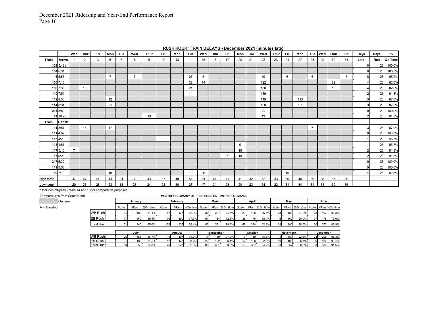|           |               |                | Wed Thur       | Fri | Mon            | Tue            | Wed            | Thur | Fri              | Mon | Tue | Wed | Thur | Fri            | Mon              | Tue | Wed | Thur | Fri | Mon | Tue            | Wed | Thur | Fri | Days | Days | %       |
|-----------|---------------|----------------|----------------|-----|----------------|----------------|----------------|------|------------------|-----|-----|-----|------|----------------|------------------|-----|-----|------|-----|-----|----------------|-----|------|-----|------|------|---------|
| Train     | Arrive        |                | $\overline{2}$ | 3   | 6              | $\overline{7}$ | 8              | 9    | 10 <sup>10</sup> | 13  | 14  | 15  | 16   | 17             | 20               | 21  | 22  | 23   | 24  | 27  | 28             | 29  | 30   | 31  | Late | Ran  | On Time |
|           | 102 5:48a     |                |                |     |                |                |                |      |                  |     |     |     |      |                |                  |     |     |      |     |     |                |     |      |     |      | 23   | 100.0%  |
|           | 104 6:31      |                |                |     |                |                |                |      |                  |     |     |     |      |                |                  |     |     |      |     |     |                |     |      |     |      | 23   | 100.0%  |
|           | 6 6:55        |                |                |     | $\overline{7}$ |                | $\overline{7}$ |      |                  |     | 27  | 6   |      |                |                  |     | 19  |      | 6   |     | 6              |     |      | 6   |      | 23   | 65.2%   |
|           | 106 7:13      |                |                |     |                |                |                |      |                  |     | 22  | 14  |      |                |                  |     | 122 |      |     |     |                |     | 22   |     |      | 23   | 82.6%   |
|           | 108 7:35      |                | 10             |     |                |                |                |      |                  |     | 21  |     |      |                |                  |     | 130 |      |     |     |                |     | 10   |     |      | 23   | 82.6%   |
|           | 110 7:51      |                |                |     |                |                |                |      |                  |     | 14  |     |      |                |                  |     | 159 |      |     |     |                |     |      |     |      | 23   | 91.3%   |
|           | 112 8:08      |                |                |     | 12             |                |                |      |                  |     |     |     |      |                |                  |     | 149 |      |     | 113 |                |     |      |     |      | 23   | 87.0%   |
|           | 114 8:31      |                |                |     | 21             |                |                |      |                  |     |     |     |      |                |                  |     | 150 |      |     | 97  |                |     |      |     |      | 23   | 87.0%   |
|           | 214 8:52      |                |                |     |                |                |                |      |                  |     |     |     |      |                |                  |     | Α   |      |     |     |                |     |      |     |      | 22   | 100.0%  |
|           | 14 10:28      |                |                |     |                |                |                | 13   |                  |     |     |     |      |                |                  |     | 43  |      |     |     |                |     |      |     |      | 23   | 91.3%   |
| Train     | <b>Depart</b> |                |                |     |                |                |                |      |                  |     |     |     |      |                |                  |     |     |      |     |     |                |     |      |     |      |      |         |
|           | 11 3:57       |                | 15             |     | 17             |                |                |      |                  |     |     |     |      |                |                  |     |     |      |     |     | $\overline{7}$ |     |      |     |      | 23   | 87.0%   |
|           | 111 4:02      |                |                |     |                |                |                |      |                  |     |     |     |      |                |                  |     |     |      |     |     |                |     |      |     |      | 23   | 100.0%  |
|           | 113 4:28      |                |                |     |                |                |                |      | 9                |     |     |     |      |                |                  |     |     |      |     |     |                |     |      |     |      | 23   | 95.7%   |
|           | 115 4:57      |                |                |     |                |                |                |      |                  |     |     |     |      |                | 9                |     |     |      |     |     |                |     |      |     |      | 23   | 95.7%   |
|           | 117 5:10      | $\overline{7}$ |                |     |                |                |                |      |                  |     |     |     |      |                | 18               |     |     |      |     |     |                |     |      |     |      | 23   | 91.3%   |
|           | 17 5:28       |                |                |     |                |                |                |      |                  |     |     |     |      | $\overline{7}$ | 10 <sup>10</sup> |     |     |      |     |     |                |     |      |     |      | 23   | 91.3%   |
|           | 217 5:32      |                |                |     |                |                |                |      |                  |     |     |     |      |                |                  |     |     |      |     |     |                |     |      |     |      | 23   | 100.0%  |
|           | 119 5:58      |                |                |     |                |                |                |      |                  |     |     |     |      |                |                  |     |     |      |     |     |                |     |      |     |      | 23   | 100.0%  |
|           | 19 7:10       |                |                |     | 40             |                |                |      |                  |     | 10  | 26  |      |                |                  |     |     |      | 10  |     |                |     |      |     |      | 23   | 82.6%   |
| High temp |               | 47             | 57             | 44  | 44             | 24             | 32             | 43   | 57               | 49  | 54  | 64  | 64   | 41             | 41               | 42  | 32  | 43   | 56  | 45  | 36             | 38  | 37   | 49  |      |      |         |
| Low temp  |               | 29             | 33             | 28  | 23             | 18             | 23             | 24   | 28               | 30  | 27  | 47  | 34   | 23             | 28               | 23  | 24  | 22   | 31  | 34  | 31             | 31  | 30   | 36  |      |      |         |

**RUSH HOUR\* TRAIN DELAYS - December 2021 (minutes late)**

\* Includes off-peak Trains 14 and 19 for comparative purposes

| MONTHLY SUMMARY OF RUSH HOUR ON TIME PERFORMANCE |      |       |                          |          |                      |       |                                           |          |                                       |  |                |                                     |                         |                                                            |                                                        |     |                                                                         |
|--------------------------------------------------|------|-------|--------------------------|----------|----------------------|-------|-------------------------------------------|----------|---------------------------------------|--|----------------|-------------------------------------|-------------------------|------------------------------------------------------------|--------------------------------------------------------|-----|-------------------------------------------------------------------------|
| January                                          |      |       | February                 |          |                      | March |                                           |          | April                                 |  |                | May                                 |                         |                                                            | June                                                   |     |                                                                         |
| #Late                                            | #Ran |       | #Late                    | #Ran     |                      |       |                                           |          |                                       |  |                |                                     |                         |                                                            |                                                        |     |                                                                         |
| 34                                               |      | 81.1% | 67                       |          |                      |       |                                           | 84.5%    |                                       |  |                |                                     |                         |                                                            |                                                        | 197 | 88.3%                                                                   |
|                                                  |      | 89.4% | 36 <sup>1</sup>          |          |                      | 51    |                                           | 72.3%    |                                       |  |                |                                     |                         | 90.0%                                                      |                                                        |     | 79.0%                                                                   |
| 51                                               |      | 85.0% |                          | 337      |                      |       |                                           | 78.8%    |                                       |  |                |                                     |                         |                                                            |                                                        |     | 83.9%                                                                   |
|                                                  |      |       |                          |          |                      |       |                                           |          |                                       |  |                |                                     |                         |                                                            |                                                        |     |                                                                         |
|                                                  |      |       |                          |          |                      |       |                                           |          |                                       |  |                | December                            |                         |                                                            |                                                        |     |                                                                         |
| 25                                               |      | 86.7% |                          | 197      | 91.9%                |       |                                           | 91.0%    |                                       |  | 96.3%          |                                     |                         | 92.6%                                                      |                                                        | 206 | 88.3%                                                                   |
|                                                  |      | July  | 180<br>160<br>340<br>188 | %On time | 160<br>103<br>August | 177   | %On time #Late<br>62.1%<br>77.5%<br>69.4% | 32<br>83 | 207<br>184<br>391<br>September<br>189 |  | 29<br>38<br>67 | 198<br>176<br>374<br>October<br>189 | 85.4%<br>78.4%<br>82.1% | #Ran %On time #Late #Ran %On time #Late<br>23<br>16I<br>39 | 180<br>87.2%<br>160<br>340<br>88.5%<br>November<br>189 |     | #Ran %On time #Late #Ran %On time<br>23<br>176<br>37<br>373<br>60<br>24 |

EB Rush 31 168 81.5% 12 176 93.2% 22 162 86.4% 12 168 92.9% 19 168 88.7% 9 184 95.1% Total Rush | 56| 356| 84.3%| 28| 373| 92.5%| 39| 351| 88.9%| 19| 357| 94.7%| 33| 357| 90.8%| 33| 390| 91.5%